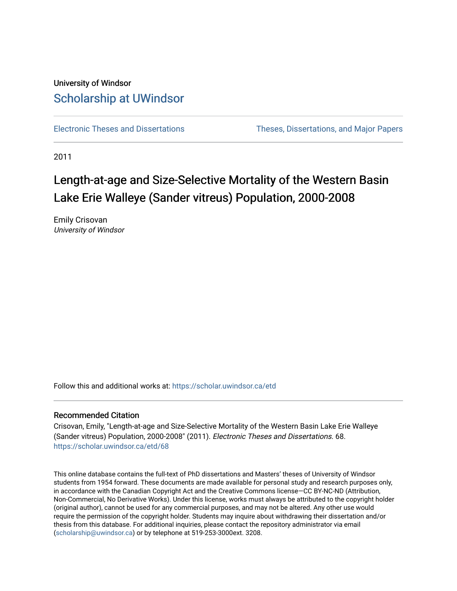# University of Windsor [Scholarship at UWindsor](https://scholar.uwindsor.ca/)

[Electronic Theses and Dissertations](https://scholar.uwindsor.ca/etd) [Theses, Dissertations, and Major Papers](https://scholar.uwindsor.ca/theses-dissertations-major-papers) 

2011

# Length-at-age and Size-Selective Mortality of the Western Basin Lake Erie Walleye (Sander vitreus) Population, 2000-2008

Emily Crisovan University of Windsor

Follow this and additional works at: [https://scholar.uwindsor.ca/etd](https://scholar.uwindsor.ca/etd?utm_source=scholar.uwindsor.ca%2Fetd%2F68&utm_medium=PDF&utm_campaign=PDFCoverPages) 

# Recommended Citation

Crisovan, Emily, "Length-at-age and Size-Selective Mortality of the Western Basin Lake Erie Walleye (Sander vitreus) Population, 2000-2008" (2011). Electronic Theses and Dissertations. 68. [https://scholar.uwindsor.ca/etd/68](https://scholar.uwindsor.ca/etd/68?utm_source=scholar.uwindsor.ca%2Fetd%2F68&utm_medium=PDF&utm_campaign=PDFCoverPages)

This online database contains the full-text of PhD dissertations and Masters' theses of University of Windsor students from 1954 forward. These documents are made available for personal study and research purposes only, in accordance with the Canadian Copyright Act and the Creative Commons license—CC BY-NC-ND (Attribution, Non-Commercial, No Derivative Works). Under this license, works must always be attributed to the copyright holder (original author), cannot be used for any commercial purposes, and may not be altered. Any other use would require the permission of the copyright holder. Students may inquire about withdrawing their dissertation and/or thesis from this database. For additional inquiries, please contact the repository administrator via email [\(scholarship@uwindsor.ca\)](mailto:scholarship@uwindsor.ca) or by telephone at 519-253-3000ext. 3208.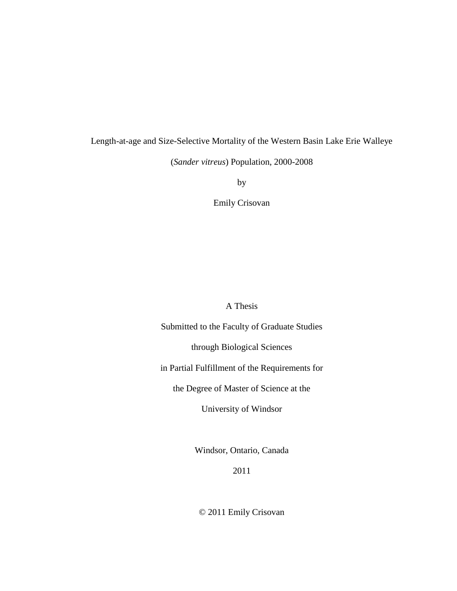# Length-at-age and Size-Selective Mortality of the Western Basin Lake Erie Walleye (*Sander vitreus*) Population, 2000-2008

by

Emily Crisovan

A Thesis

Submitted to the Faculty of Graduate Studies

through Biological Sciences

in Partial Fulfillment of the Requirements for

the Degree of Master of Science at the

University of Windsor

Windsor, Ontario, Canada

2011

© 2011 Emily Crisovan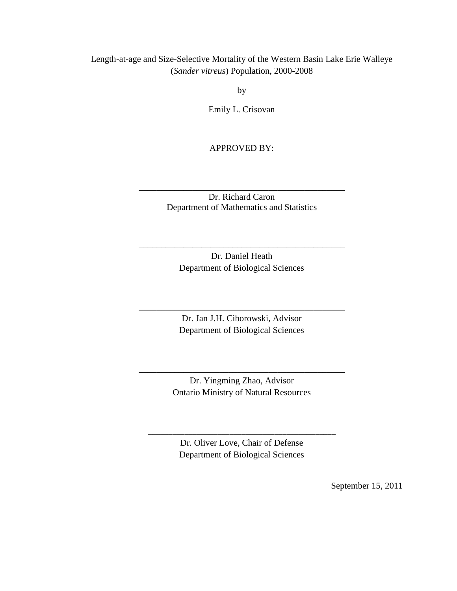Length-at-age and Size-Selective Mortality of the Western Basin Lake Erie Walleye (*Sander vitreus*) Population, 2000-2008

by

Emily L. Crisovan

# APPROVED BY:

Dr. Richard Caron Department of Mathematics and Statistics

\_\_\_\_\_\_\_\_\_\_\_\_\_\_\_\_\_\_\_\_\_\_\_\_\_\_\_\_\_\_\_\_\_\_\_\_\_\_\_\_\_\_\_\_\_\_

Dr. Daniel Heath Department of Biological Sciences

\_\_\_\_\_\_\_\_\_\_\_\_\_\_\_\_\_\_\_\_\_\_\_\_\_\_\_\_\_\_\_\_\_\_\_\_\_\_\_\_\_\_\_\_\_\_

Dr. Jan J.H. Ciborowski, Advisor Department of Biological Sciences

\_\_\_\_\_\_\_\_\_\_\_\_\_\_\_\_\_\_\_\_\_\_\_\_\_\_\_\_\_\_\_\_\_\_\_\_\_\_\_\_\_\_\_\_\_\_

Dr. Yingming Zhao, Advisor Ontario Ministry of Natural Resources

\_\_\_\_\_\_\_\_\_\_\_\_\_\_\_\_\_\_\_\_\_\_\_\_\_\_\_\_\_\_\_\_\_\_\_\_\_\_\_\_\_\_\_\_\_\_

Dr. Oliver Love, Chair of Defense Department of Biological Sciences

\_\_\_\_\_\_\_\_\_\_\_\_\_\_\_\_\_\_\_\_\_\_\_\_\_\_\_\_\_\_\_\_\_\_\_\_\_\_\_\_\_\_\_\_\_\_

September 15, 2011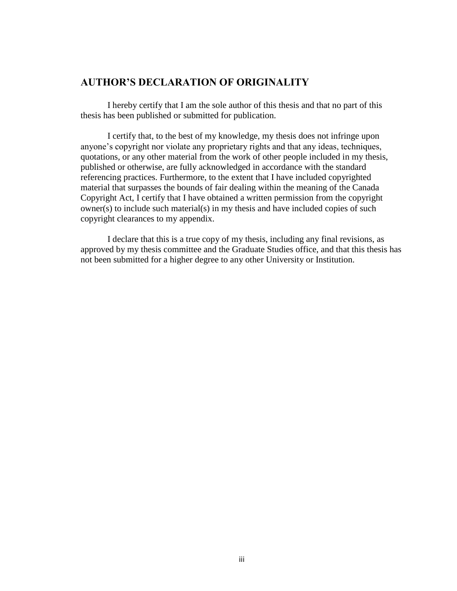# <span id="page-3-0"></span>**AUTHOR'S DECLARATION OF ORIGINALITY**

I hereby certify that I am the sole author of this thesis and that no part of this thesis has been published or submitted for publication.

I certify that, to the best of my knowledge, my thesis does not infringe upon anyone's copyright nor violate any proprietary rights and that any ideas, techniques, quotations, or any other material from the work of other people included in my thesis, published or otherwise, are fully acknowledged in accordance with the standard referencing practices. Furthermore, to the extent that I have included copyrighted material that surpasses the bounds of fair dealing within the meaning of the Canada Copyright Act, I certify that I have obtained a written permission from the copyright owner(s) to include such material(s) in my thesis and have included copies of such copyright clearances to my appendix.

I declare that this is a true copy of my thesis, including any final revisions, as approved by my thesis committee and the Graduate Studies office, and that this thesis has not been submitted for a higher degree to any other University or Institution.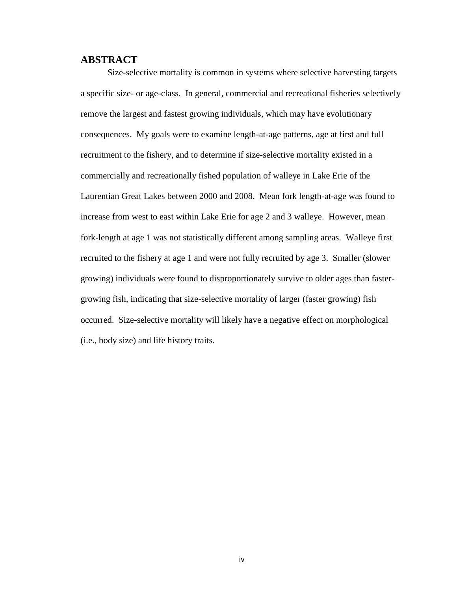# <span id="page-4-0"></span>**ABSTRACT**

Size-selective mortality is common in systems where selective harvesting targets a specific size- or age-class. In general, commercial and recreational fisheries selectively remove the largest and fastest growing individuals, which may have evolutionary consequences. My goals were to examine length-at-age patterns, age at first and full recruitment to the fishery, and to determine if size-selective mortality existed in a commercially and recreationally fished population of walleye in Lake Erie of the Laurentian Great Lakes between 2000 and 2008. Mean fork length-at-age was found to increase from west to east within Lake Erie for age 2 and 3 walleye. However, mean fork-length at age 1 was not statistically different among sampling areas. Walleye first recruited to the fishery at age 1 and were not fully recruited by age 3. Smaller (slower growing) individuals were found to disproportionately survive to older ages than fastergrowing fish, indicating that size-selective mortality of larger (faster growing) fish occurred. Size-selective mortality will likely have a negative effect on morphological (i.e., body size) and life history traits.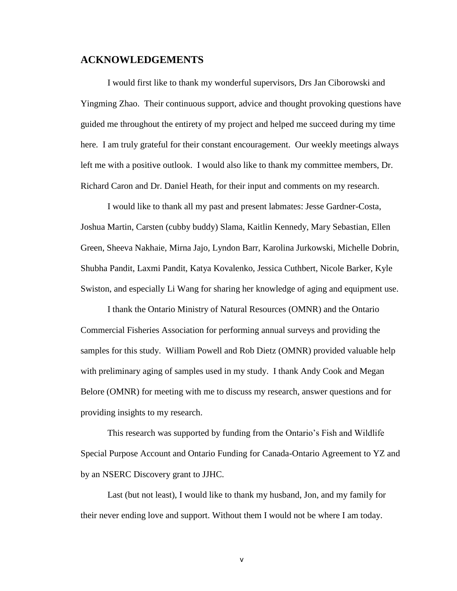# <span id="page-5-0"></span>**ACKNOWLEDGEMENTS**

I would first like to thank my wonderful supervisors, Drs Jan Ciborowski and Yingming Zhao. Their continuous support, advice and thought provoking questions have guided me throughout the entirety of my project and helped me succeed during my time here. I am truly grateful for their constant encouragement. Our weekly meetings always left me with a positive outlook. I would also like to thank my committee members, Dr. Richard Caron and Dr. Daniel Heath, for their input and comments on my research.

I would like to thank all my past and present labmates: Jesse Gardner-Costa, Joshua Martin, Carsten (cubby buddy) Slama, Kaitlin Kennedy, Mary Sebastian, Ellen Green, Sheeva Nakhaie, Mirna Jajo, Lyndon Barr, Karolina Jurkowski, Michelle Dobrin, Shubha Pandit, Laxmi Pandit, Katya Kovalenko, Jessica Cuthbert, Nicole Barker, Kyle Swiston, and especially Li Wang for sharing her knowledge of aging and equipment use.

I thank the Ontario Ministry of Natural Resources (OMNR) and the Ontario Commercial Fisheries Association for performing annual surveys and providing the samples for this study. William Powell and Rob Dietz (OMNR) provided valuable help with preliminary aging of samples used in my study. I thank Andy Cook and Megan Belore (OMNR) for meeting with me to discuss my research, answer questions and for providing insights to my research.

This research was supported by funding from the Ontario's Fish and Wildlife Special Purpose Account and Ontario Funding for Canada-Ontario Agreement to YZ and by an NSERC Discovery grant to JJHC.

Last (but not least), I would like to thank my husband, Jon, and my family for their never ending love and support. Without them I would not be where I am today.

v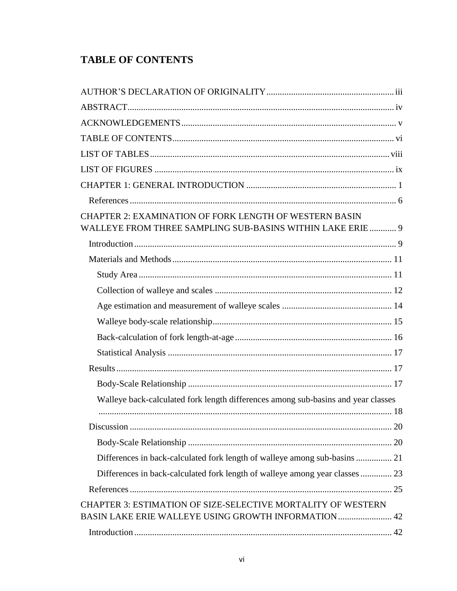# <span id="page-6-0"></span>**TABLE OF CONTENTS**

| <b>CHAPTER 2: EXAMINATION OF FORK LENGTH OF WESTERN BASIN</b><br>WALLEYE FROM THREE SAMPLING SUB-BASINS WITHIN LAKE ERIE 9 |  |
|----------------------------------------------------------------------------------------------------------------------------|--|
|                                                                                                                            |  |
|                                                                                                                            |  |
|                                                                                                                            |  |
|                                                                                                                            |  |
|                                                                                                                            |  |
|                                                                                                                            |  |
|                                                                                                                            |  |
|                                                                                                                            |  |
|                                                                                                                            |  |
|                                                                                                                            |  |
| Walleye back-calculated fork length differences among sub-basins and year classes                                          |  |
|                                                                                                                            |  |
|                                                                                                                            |  |
| Differences in back-calculated fork length of walleye among sub-basins  21                                                 |  |
| Differences in back-calculated fork length of walleye among year classes  23                                               |  |
|                                                                                                                            |  |
| CHAPTER 3: ESTIMATION OF SIZE-SELECTIVE MORTALITY OF WESTERN<br>BASIN LAKE ERIE WALLEYE USING GROWTH INFORMATION  42       |  |
|                                                                                                                            |  |
|                                                                                                                            |  |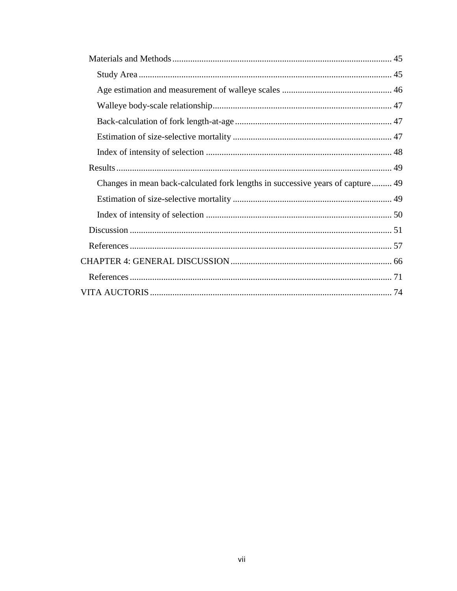| Changes in mean back-calculated fork lengths in successive years of capture 49 |  |
|--------------------------------------------------------------------------------|--|
|                                                                                |  |
|                                                                                |  |
|                                                                                |  |
|                                                                                |  |
|                                                                                |  |
|                                                                                |  |
|                                                                                |  |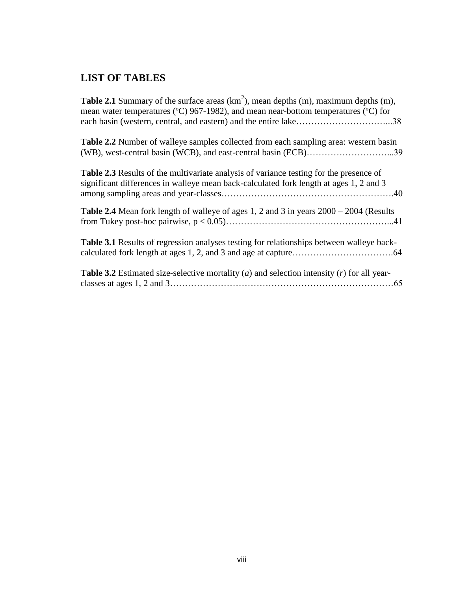# <span id="page-8-0"></span>**LIST OF TABLES**

**Table 2.1** Summary of the surface areas  $(km^2)$ , mean depths  $(m)$ , maximum depths  $(m)$ , mean water temperatures (ºC) 967-1982), and mean near-bottom temperatures (ºC) for each basin (western, central, and eastern) and the entire lake…………………………...38 **Table 2.2** Number of walleye samples collected from each sampling area: western basin (WB), west-central basin (WCB), and east-central basin (ECB)………………………...39 **Table 2.3** Results of the multivariate analysis of variance testing for the presence of significant differences in walleye mean back-calculated fork length at ages 1, 2 and 3 among sampling areas and year-classes………………………………………………….40 **Table 2.4** Mean fork length of walleye of ages 1, 2 and 3 in years 2000 – 2004 (Results from Tukey post-hoc pairwise, p < 0.05)………………………………………………...41 **Table 3.1** Results of regression analyses testing for relationships between walleye backcalculated fork length at ages 1, 2, and 3 and age at capture…………………………….64 **Table 3.2** Estimated size-selective mortality (*a*) and selection intensity (*r*) for all yearclasses at ages 1, 2 and 3…………………………………………………………………65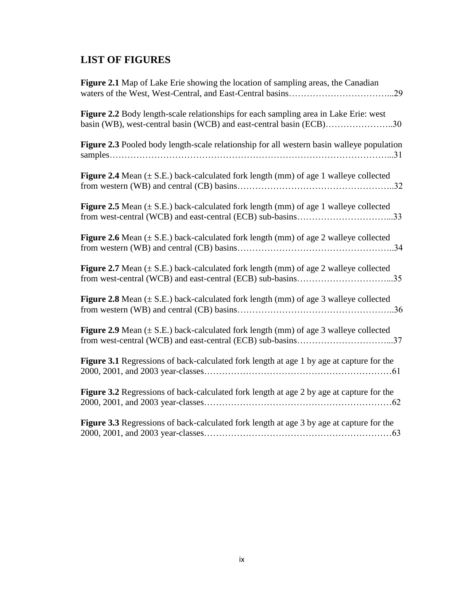# <span id="page-9-0"></span>**LIST OF FIGURES**

| Figure 2.1 Map of Lake Erie showing the location of sampling areas, the Canadian                                                                            |
|-------------------------------------------------------------------------------------------------------------------------------------------------------------|
| Figure 2.2 Body length-scale relationships for each sampling area in Lake Erie: west<br>basin (WB), west-central basin (WCB) and east-central basin (ECB)30 |
| Figure 2.3 Pooled body length-scale relationship for all western basin walleye population                                                                   |
| Figure 2.4 Mean $(\pm S.E.)$ back-calculated fork length (mm) of age 1 walleye collected                                                                    |
| Figure 2.5 Mean $(\pm S.E.)$ back-calculated fork length (mm) of age 1 walleye collected                                                                    |
| <b>Figure 2.6</b> Mean $(\pm S.E.)$ back-calculated fork length (mm) of age 2 walleye collected                                                             |
| Figure 2.7 Mean $(\pm S.E.)$ back-calculated fork length (mm) of age 2 walleye collected                                                                    |
| <b>Figure 2.8</b> Mean $(\pm S.E.)$ back-calculated fork length (mm) of age 3 walleye collected                                                             |
| Figure 2.9 Mean $(\pm S.E.)$ back-calculated fork length (mm) of age 3 walleye collected                                                                    |
| Figure 3.1 Regressions of back-calculated fork length at age 1 by age at capture for the                                                                    |
| <b>Figure 3.2</b> Regressions of back-calculated fork length at age 2 by age at capture for the                                                             |
| Figure 3.3 Regressions of back-calculated fork length at age 3 by age at capture for the                                                                    |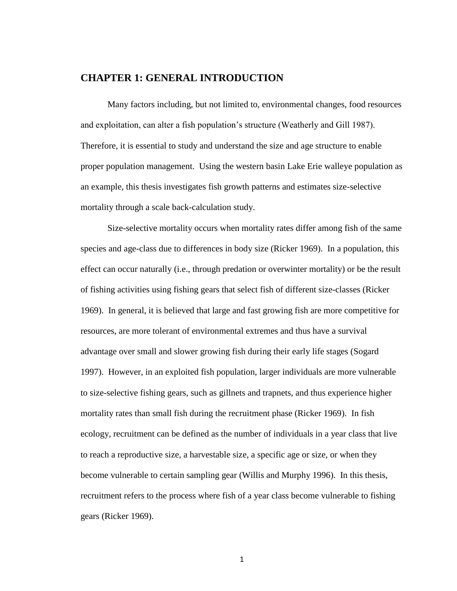# <span id="page-10-0"></span>**CHAPTER 1: GENERAL INTRODUCTION**

Many factors including, but not limited to, environmental changes, food resources and exploitation, can alter a fish population's structure (Weatherly and Gill 1987). Therefore, it is essential to study and understand the size and age structure to enable proper population management. Using the western basin Lake Erie walleye population as an example, this thesis investigates fish growth patterns and estimates size-selective mortality through a scale back-calculation study.

Size-selective mortality occurs when mortality rates differ among fish of the same species and age-class due to differences in body size (Ricker 1969). In a population, this effect can occur naturally (i.e., through predation or overwinter mortality) or be the result of fishing activities using fishing gears that select fish of different size-classes (Ricker 1969). In general, it is believed that large and fast growing fish are more competitive for resources, are more tolerant of environmental extremes and thus have a survival advantage over small and slower growing fish during their early life stages (Sogard 1997). However, in an exploited fish population, larger individuals are more vulnerable to size-selective fishing gears, such as gillnets and trapnets, and thus experience higher mortality rates than small fish during the recruitment phase (Ricker 1969). In fish ecology, recruitment can be defined as the number of individuals in a year class that live to reach a reproductive size, a harvestable size, a specific age or size, or when they become vulnerable to certain sampling gear (Willis and Murphy 1996). In this thesis, recruitment refers to the process where fish of a year class become vulnerable to fishing gears (Ricker 1969).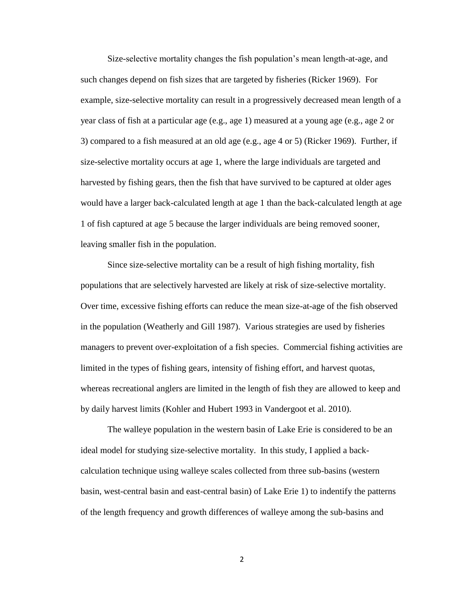Size-selective mortality changes the fish population's mean length-at-age, and such changes depend on fish sizes that are targeted by fisheries (Ricker 1969). For example, size-selective mortality can result in a progressively decreased mean length of a year class of fish at a particular age (e.g., age 1) measured at a young age (e.g., age 2 or 3) compared to a fish measured at an old age (e.g., age 4 or 5) (Ricker 1969). Further, if size-selective mortality occurs at age 1, where the large individuals are targeted and harvested by fishing gears, then the fish that have survived to be captured at older ages would have a larger back-calculated length at age 1 than the back-calculated length at age 1 of fish captured at age 5 because the larger individuals are being removed sooner, leaving smaller fish in the population.

Since size-selective mortality can be a result of high fishing mortality, fish populations that are selectively harvested are likely at risk of size-selective mortality. Over time, excessive fishing efforts can reduce the mean size-at-age of the fish observed in the population (Weatherly and Gill 1987). Various strategies are used by fisheries managers to prevent over-exploitation of a fish species. Commercial fishing activities are limited in the types of fishing gears, intensity of fishing effort, and harvest quotas, whereas recreational anglers are limited in the length of fish they are allowed to keep and by daily harvest limits (Kohler and Hubert 1993 in Vandergoot et al. 2010).

The walleye population in the western basin of Lake Erie is considered to be an ideal model for studying size-selective mortality. In this study, I applied a backcalculation technique using walleye scales collected from three sub-basins (western basin, west-central basin and east-central basin) of Lake Erie 1) to indentify the patterns of the length frequency and growth differences of walleye among the sub-basins and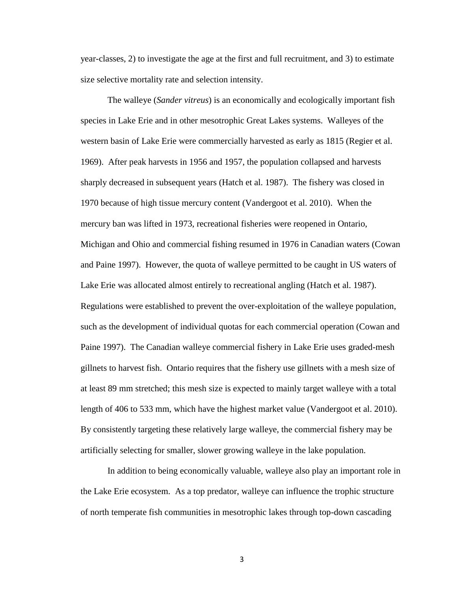year-classes, 2) to investigate the age at the first and full recruitment, and 3) to estimate size selective mortality rate and selection intensity.

The walleye (*Sander vitreus*) is an economically and ecologically important fish species in Lake Erie and in other mesotrophic Great Lakes systems. Walleyes of the western basin of Lake Erie were commercially harvested as early as 1815 (Regier et al. 1969). After peak harvests in 1956 and 1957, the population collapsed and harvests sharply decreased in subsequent years (Hatch et al. 1987). The fishery was closed in 1970 because of high tissue mercury content (Vandergoot et al. 2010). When the mercury ban was lifted in 1973, recreational fisheries were reopened in Ontario, Michigan and Ohio and commercial fishing resumed in 1976 in Canadian waters (Cowan and Paine 1997). However, the quota of walleye permitted to be caught in US waters of Lake Erie was allocated almost entirely to recreational angling (Hatch et al. 1987). Regulations were established to prevent the over-exploitation of the walleye population, such as the development of individual quotas for each commercial operation (Cowan and Paine 1997). The Canadian walleye commercial fishery in Lake Erie uses graded-mesh gillnets to harvest fish. Ontario requires that the fishery use gillnets with a mesh size of at least 89 mm stretched; this mesh size is expected to mainly target walleye with a total length of 406 to 533 mm, which have the highest market value (Vandergoot et al. 2010). By consistently targeting these relatively large walleye, the commercial fishery may be artificially selecting for smaller, slower growing walleye in the lake population.

In addition to being economically valuable, walleye also play an important role in the Lake Erie ecosystem. As a top predator, walleye can influence the trophic structure of north temperate fish communities in mesotrophic lakes through top-down cascading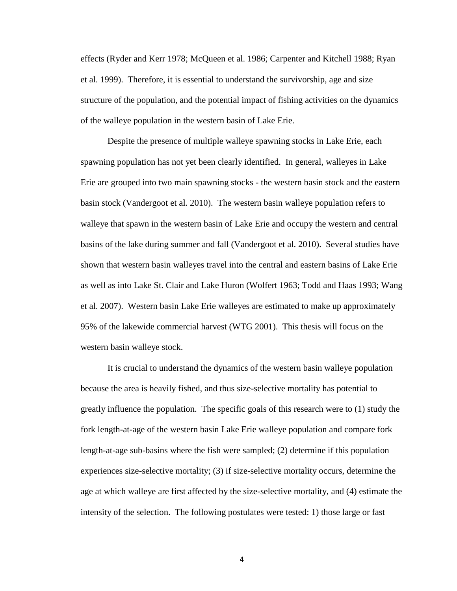effects (Ryder and Kerr 1978; McQueen et al. 1986; Carpenter and Kitchell 1988; Ryan et al. 1999). Therefore, it is essential to understand the survivorship, age and size structure of the population, and the potential impact of fishing activities on the dynamics of the walleye population in the western basin of Lake Erie.

Despite the presence of multiple walleye spawning stocks in Lake Erie, each spawning population has not yet been clearly identified. In general, walleyes in Lake Erie are grouped into two main spawning stocks - the western basin stock and the eastern basin stock (Vandergoot et al. 2010). The western basin walleye population refers to walleye that spawn in the western basin of Lake Erie and occupy the western and central basins of the lake during summer and fall (Vandergoot et al. 2010). Several studies have shown that western basin walleyes travel into the central and eastern basins of Lake Erie as well as into Lake St. Clair and Lake Huron (Wolfert 1963; Todd and Haas 1993; Wang et al. 2007). Western basin Lake Erie walleyes are estimated to make up approximately 95% of the lakewide commercial harvest (WTG 2001). This thesis will focus on the western basin walleye stock.

It is crucial to understand the dynamics of the western basin walleye population because the area is heavily fished, and thus size-selective mortality has potential to greatly influence the population. The specific goals of this research were to (1) study the fork length-at-age of the western basin Lake Erie walleye population and compare fork length-at-age sub-basins where the fish were sampled; (2) determine if this population experiences size-selective mortality; (3) if size-selective mortality occurs, determine the age at which walleye are first affected by the size-selective mortality, and (4) estimate the intensity of the selection. The following postulates were tested: 1) those large or fast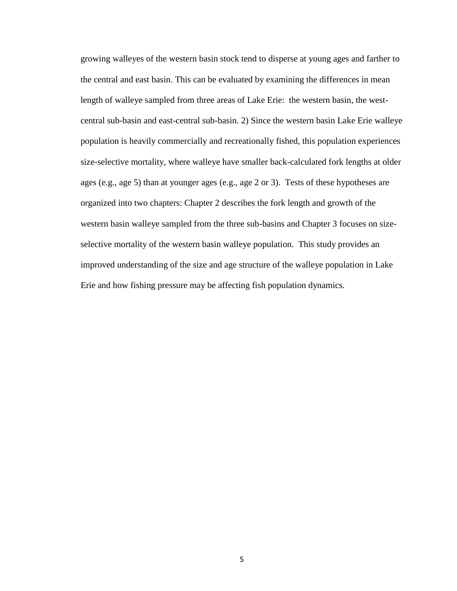growing walleyes of the western basin stock tend to disperse at young ages and farther to the central and east basin. This can be evaluated by examining the differences in mean length of walleye sampled from three areas of Lake Erie: the western basin, the westcentral sub-basin and east-central sub-basin. 2) Since the western basin Lake Erie walleye population is heavily commercially and recreationally fished, this population experiences size-selective mortality, where walleye have smaller back-calculated fork lengths at older ages (e.g., age 5) than at younger ages (e.g., age 2 or 3). Tests of these hypotheses are organized into two chapters: Chapter 2 describes the fork length and growth of the western basin walleye sampled from the three sub-basins and Chapter 3 focuses on sizeselective mortality of the western basin walleye population. This study provides an improved understanding of the size and age structure of the walleye population in Lake Erie and how fishing pressure may be affecting fish population dynamics.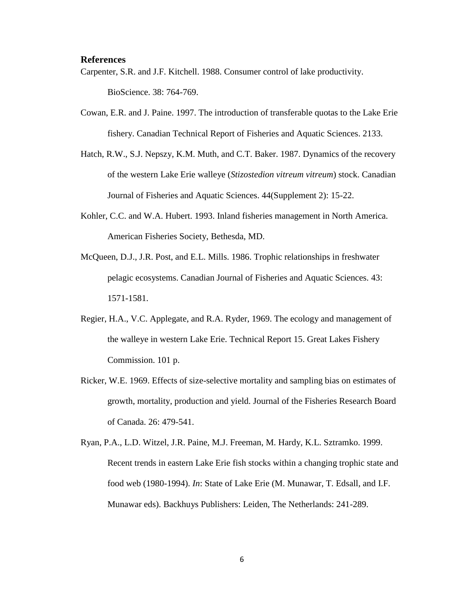### <span id="page-15-0"></span>**References**

- Carpenter, S.R. and J.F. Kitchell. 1988. Consumer control of lake productivity. BioScience. 38: 764-769.
- Cowan, E.R. and J. Paine. 1997. The introduction of transferable quotas to the Lake Erie fishery. Canadian Technical Report of Fisheries and Aquatic Sciences. 2133.
- Hatch, R.W., S.J. Nepszy, K.M. Muth, and C.T. Baker. 1987. Dynamics of the recovery of the western Lake Erie walleye (*Stizostedion vitreum vitreum*) stock. Canadian Journal of Fisheries and Aquatic Sciences. 44(Supplement 2): 15-22.
- Kohler, C.C. and W.A. Hubert. 1993. Inland fisheries management in North America. American Fisheries Society, Bethesda, MD.
- McQueen, D.J., J.R. Post, and E.L. Mills. 1986. Trophic relationships in freshwater pelagic ecosystems. Canadian Journal of Fisheries and Aquatic Sciences. 43: 1571-1581.
- Regier, H.A., V.C. Applegate, and R.A. Ryder, 1969. The ecology and management of the walleye in western Lake Erie. Technical Report 15. Great Lakes Fishery Commission. 101 p.
- Ricker, W.E. 1969. Effects of size-selective mortality and sampling bias on estimates of growth, mortality, production and yield. Journal of the Fisheries Research Board of Canada. 26: 479-541.
- Ryan, P.A., L.D. Witzel, J.R. Paine, M.J. Freeman, M. Hardy, K.L. Sztramko. 1999. Recent trends in eastern Lake Erie fish stocks within a changing trophic state and food web (1980-1994). *In*: State of Lake Erie (M. Munawar, T. Edsall, and I.F. Munawar eds). Backhuys Publishers: Leiden, The Netherlands: 241-289.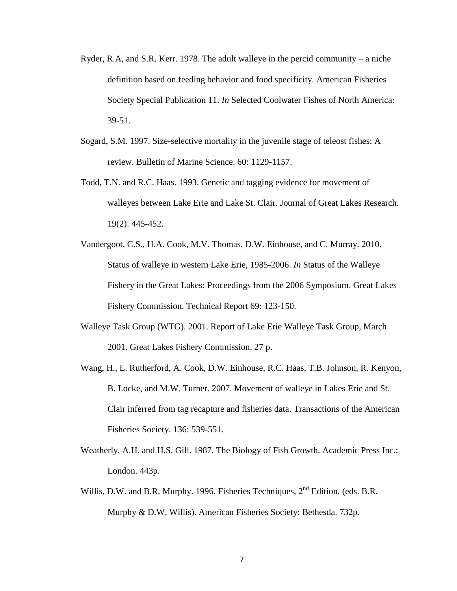- Ryder, R.A, and S.R. Kerr. 1978. The adult walleye in the percid community a niche definition based on feeding behavior and food specificity. American Fisheries Society Special Publication 11. *In* Selected Coolwater Fishes of North America: 39-51.
- Sogard, S.M. 1997. Size-selective mortality in the juvenile stage of teleost fishes: A review. Bulletin of Marine Science. 60: 1129-1157.
- Todd, T.N. and R.C. Haas. 1993. Genetic and tagging evidence for movement of walleyes between Lake Erie and Lake St. Clair. Journal of Great Lakes Research. 19(2): 445-452.
- Vandergoot, C.S., H.A. Cook, M.V. Thomas, D.W. Einhouse, and C. Murray. 2010. Status of walleye in western Lake Erie, 1985-2006. *In* Status of the Walleye Fishery in the Great Lakes: Proceedings from the 2006 Symposium. Great Lakes Fishery Commission. Technical Report 69: 123-150.
- Walleye Task Group (WTG). 2001. Report of Lake Erie Walleye Task Group, March 2001. Great Lakes Fishery Commission, 27 p.
- Wang, H., E. Rutherford, A. Cook, D.W. Einhouse, R.C. Haas, T.B. Johnson, R. Kenyon, B. Locke, and M.W. Turner. 2007. Movement of walleye in Lakes Erie and St. Clair inferred from tag recapture and fisheries data. Transactions of the American Fisheries Society. 136: 539-551.
- Weatherly, A.H. and H.S. Gill. 1987. The Biology of Fish Growth. Academic Press Inc.: London. 443p.
- Willis, D.W. and B.R. Murphy. 1996. Fisheries Techniques, 2<sup>nd</sup> Edition. (eds. B.R. Murphy & D.W. Willis). American Fisheries Society: Bethesda. 732p.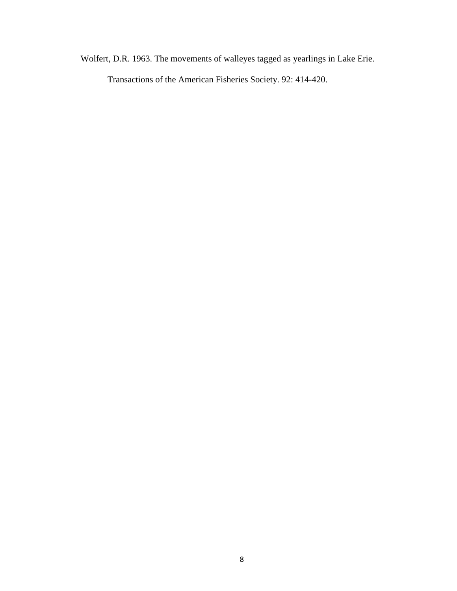Wolfert, D.R. 1963. The movements of walleyes tagged as yearlings in Lake Erie.

Transactions of the American Fisheries Society. 92: 414-420.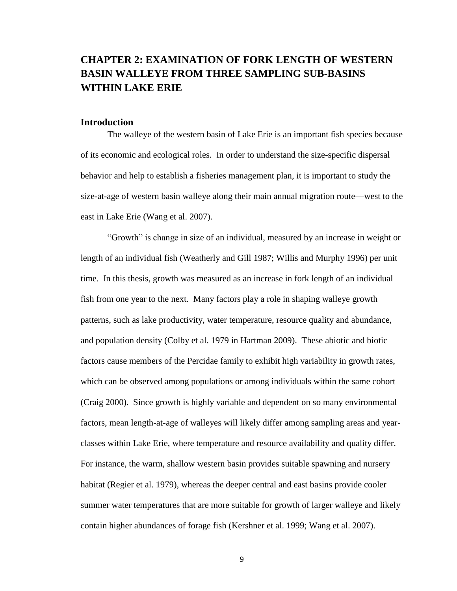# <span id="page-18-0"></span>**CHAPTER 2: EXAMINATION OF FORK LENGTH OF WESTERN BASIN WALLEYE FROM THREE SAMPLING SUB-BASINS WITHIN LAKE ERIE**

#### <span id="page-18-1"></span>**Introduction**

The walleye of the western basin of Lake Erie is an important fish species because of its economic and ecological roles. In order to understand the size-specific dispersal behavior and help to establish a fisheries management plan, it is important to study the size-at-age of western basin walleye along their main annual migration route—west to the east in Lake Erie (Wang et al. 2007).

―Growth‖ is change in size of an individual, measured by an increase in weight or length of an individual fish (Weatherly and Gill 1987; Willis and Murphy 1996) per unit time. In this thesis, growth was measured as an increase in fork length of an individual fish from one year to the next. Many factors play a role in shaping walleye growth patterns, such as lake productivity, water temperature, resource quality and abundance, and population density (Colby et al. 1979 in Hartman 2009). These abiotic and biotic factors cause members of the Percidae family to exhibit high variability in growth rates, which can be observed among populations or among individuals within the same cohort (Craig 2000). Since growth is highly variable and dependent on so many environmental factors, mean length-at-age of walleyes will likely differ among sampling areas and yearclasses within Lake Erie, where temperature and resource availability and quality differ. For instance, the warm, shallow western basin provides suitable spawning and nursery habitat (Regier et al. 1979), whereas the deeper central and east basins provide cooler summer water temperatures that are more suitable for growth of larger walleye and likely contain higher abundances of forage fish (Kershner et al. 1999; Wang et al. 2007).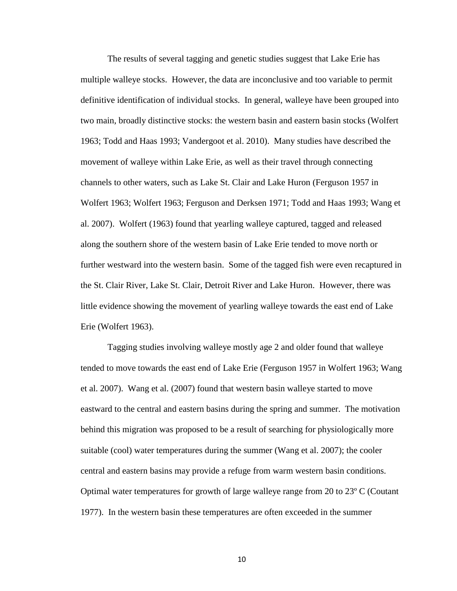The results of several tagging and genetic studies suggest that Lake Erie has multiple walleye stocks. However, the data are inconclusive and too variable to permit definitive identification of individual stocks. In general, walleye have been grouped into two main, broadly distinctive stocks: the western basin and eastern basin stocks (Wolfert 1963; Todd and Haas 1993; Vandergoot et al. 2010). Many studies have described the movement of walleye within Lake Erie, as well as their travel through connecting channels to other waters, such as Lake St. Clair and Lake Huron (Ferguson 1957 in Wolfert 1963; Wolfert 1963; Ferguson and Derksen 1971; Todd and Haas 1993; Wang et al. 2007). Wolfert (1963) found that yearling walleye captured, tagged and released along the southern shore of the western basin of Lake Erie tended to move north or further westward into the western basin. Some of the tagged fish were even recaptured in the St. Clair River, Lake St. Clair, Detroit River and Lake Huron. However, there was little evidence showing the movement of yearling walleye towards the east end of Lake Erie (Wolfert 1963).

Tagging studies involving walleye mostly age 2 and older found that walleye tended to move towards the east end of Lake Erie (Ferguson 1957 in Wolfert 1963; Wang et al. 2007). Wang et al. (2007) found that western basin walleye started to move eastward to the central and eastern basins during the spring and summer. The motivation behind this migration was proposed to be a result of searching for physiologically more suitable (cool) water temperatures during the summer (Wang et al. 2007); the cooler central and eastern basins may provide a refuge from warm western basin conditions. Optimal water temperatures for growth of large walleye range from 20 to 23º C (Coutant 1977). In the western basin these temperatures are often exceeded in the summer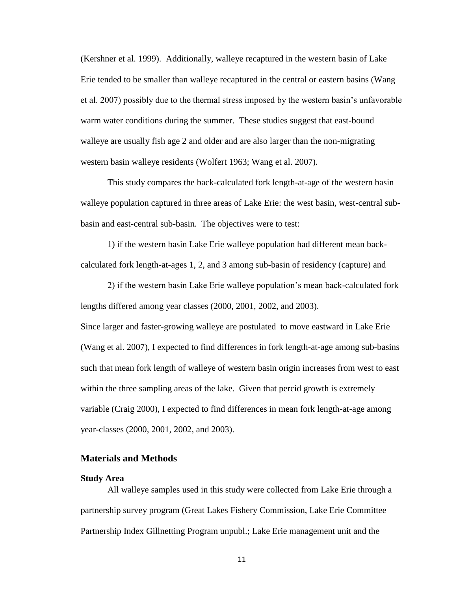(Kershner et al. 1999). Additionally, walleye recaptured in the western basin of Lake Erie tended to be smaller than walleye recaptured in the central or eastern basins (Wang et al. 2007) possibly due to the thermal stress imposed by the western basin's unfavorable warm water conditions during the summer. These studies suggest that east-bound walleye are usually fish age 2 and older and are also larger than the non-migrating western basin walleye residents (Wolfert 1963; Wang et al. 2007).

This study compares the back-calculated fork length-at-age of the western basin walleye population captured in three areas of Lake Erie: the west basin, west-central subbasin and east-central sub-basin. The objectives were to test:

1) if the western basin Lake Erie walleye population had different mean backcalculated fork length-at-ages 1, 2, and 3 among sub-basin of residency (capture) and

2) if the western basin Lake Erie walleye population's mean back-calculated fork lengths differed among year classes (2000, 2001, 2002, and 2003).

Since larger and faster-growing walleye are postulated to move eastward in Lake Erie (Wang et al. 2007), I expected to find differences in fork length-at-age among sub-basins such that mean fork length of walleye of western basin origin increases from west to east within the three sampling areas of the lake. Given that percid growth is extremely variable (Craig 2000), I expected to find differences in mean fork length-at-age among year-classes (2000, 2001, 2002, and 2003).

# <span id="page-20-0"></span>**Materials and Methods**

#### <span id="page-20-1"></span>**Study Area**

All walleye samples used in this study were collected from Lake Erie through a partnership survey program (Great Lakes Fishery Commission, Lake Erie Committee Partnership Index Gillnetting Program unpubl.; Lake Erie management unit and the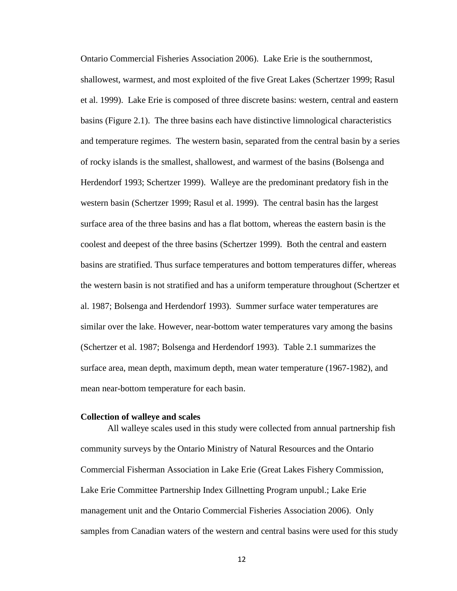Ontario Commercial Fisheries Association 2006). Lake Erie is the southernmost, shallowest, warmest, and most exploited of the five Great Lakes (Schertzer 1999; Rasul et al. 1999). Lake Erie is composed of three discrete basins: western, central and eastern basins (Figure 2.1). The three basins each have distinctive limnological characteristics and temperature regimes. The western basin, separated from the central basin by a series of rocky islands is the smallest, shallowest, and warmest of the basins (Bolsenga and Herdendorf 1993; Schertzer 1999). Walleye are the predominant predatory fish in the western basin (Schertzer 1999; Rasul et al. 1999). The central basin has the largest surface area of the three basins and has a flat bottom, whereas the eastern basin is the coolest and deepest of the three basins (Schertzer 1999). Both the central and eastern basins are stratified. Thus surface temperatures and bottom temperatures differ, whereas the western basin is not stratified and has a uniform temperature throughout (Schertzer et al. 1987; Bolsenga and Herdendorf 1993). Summer surface water temperatures are similar over the lake. However, near-bottom water temperatures vary among the basins (Schertzer et al. 1987; Bolsenga and Herdendorf 1993). Table 2.1 summarizes the surface area, mean depth, maximum depth, mean water temperature (1967-1982), and mean near-bottom temperature for each basin.

# <span id="page-21-0"></span>**Collection of walleye and scales**

All walleye scales used in this study were collected from annual partnership fish community surveys by the Ontario Ministry of Natural Resources and the Ontario Commercial Fisherman Association in Lake Erie (Great Lakes Fishery Commission, Lake Erie Committee Partnership Index Gillnetting Program unpubl.; Lake Erie management unit and the Ontario Commercial Fisheries Association 2006). Only samples from Canadian waters of the western and central basins were used for this study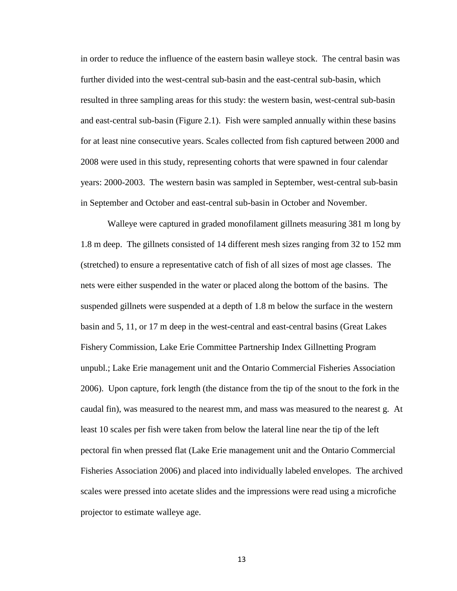in order to reduce the influence of the eastern basin walleye stock. The central basin was further divided into the west-central sub-basin and the east-central sub-basin, which resulted in three sampling areas for this study: the western basin, west-central sub-basin and east-central sub-basin (Figure 2.1). Fish were sampled annually within these basins for at least nine consecutive years. Scales collected from fish captured between 2000 and 2008 were used in this study, representing cohorts that were spawned in four calendar years: 2000-2003. The western basin was sampled in September, west-central sub-basin in September and October and east-central sub-basin in October and November.

Walleye were captured in graded monofilament gillnets measuring 381 m long by 1.8 m deep. The gillnets consisted of 14 different mesh sizes ranging from 32 to 152 mm (stretched) to ensure a representative catch of fish of all sizes of most age classes. The nets were either suspended in the water or placed along the bottom of the basins. The suspended gillnets were suspended at a depth of 1.8 m below the surface in the western basin and 5, 11, or 17 m deep in the west-central and east-central basins (Great Lakes Fishery Commission, Lake Erie Committee Partnership Index Gillnetting Program unpubl.; Lake Erie management unit and the Ontario Commercial Fisheries Association 2006). Upon capture, fork length (the distance from the tip of the snout to the fork in the caudal fin), was measured to the nearest mm, and mass was measured to the nearest g. At least 10 scales per fish were taken from below the lateral line near the tip of the left pectoral fin when pressed flat (Lake Erie management unit and the Ontario Commercial Fisheries Association 2006) and placed into individually labeled envelopes. The archived scales were pressed into acetate slides and the impressions were read using a microfiche projector to estimate walleye age.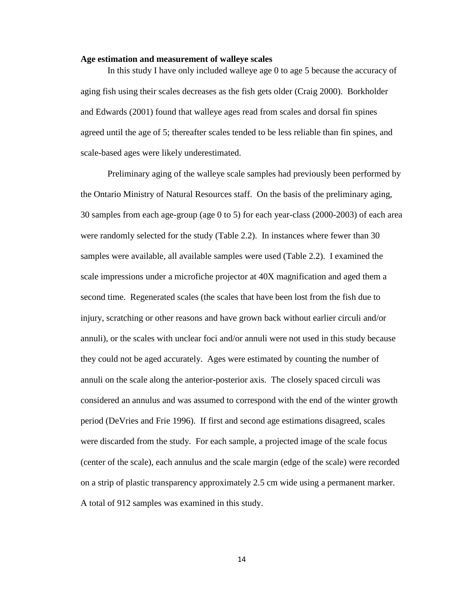#### <span id="page-23-0"></span>**Age estimation and measurement of walleye scales**

In this study I have only included walleye age 0 to age 5 because the accuracy of aging fish using their scales decreases as the fish gets older (Craig 2000). Borkholder and Edwards (2001) found that walleye ages read from scales and dorsal fin spines agreed until the age of 5; thereafter scales tended to be less reliable than fin spines, and scale-based ages were likely underestimated.

Preliminary aging of the walleye scale samples had previously been performed by the Ontario Ministry of Natural Resources staff. On the basis of the preliminary aging, 30 samples from each age-group (age 0 to 5) for each year-class (2000-2003) of each area were randomly selected for the study (Table 2.2). In instances where fewer than 30 samples were available, all available samples were used (Table 2.2). I examined the scale impressions under a microfiche projector at 40X magnification and aged them a second time. Regenerated scales (the scales that have been lost from the fish due to injury, scratching or other reasons and have grown back without earlier circuli and/or annuli), or the scales with unclear foci and/or annuli were not used in this study because they could not be aged accurately. Ages were estimated by counting the number of annuli on the scale along the anterior-posterior axis. The closely spaced circuli was considered an annulus and was assumed to correspond with the end of the winter growth period (DeVries and Frie 1996). If first and second age estimations disagreed, scales were discarded from the study. For each sample, a projected image of the scale focus (center of the scale), each annulus and the scale margin (edge of the scale) were recorded on a strip of plastic transparency approximately 2.5 cm wide using a permanent marker. A total of 912 samples was examined in this study.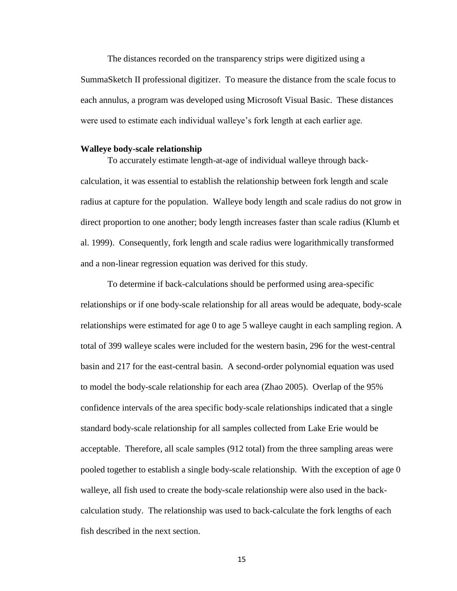The distances recorded on the transparency strips were digitized using a SummaSketch II professional digitizer. To measure the distance from the scale focus to each annulus, a program was developed using Microsoft Visual Basic. These distances were used to estimate each individual walleye's fork length at each earlier age.

#### <span id="page-24-0"></span>**Walleye body-scale relationship**

To accurately estimate length-at-age of individual walleye through backcalculation, it was essential to establish the relationship between fork length and scale radius at capture for the population. Walleye body length and scale radius do not grow in direct proportion to one another; body length increases faster than scale radius (Klumb et al. 1999). Consequently, fork length and scale radius were logarithmically transformed and a non-linear regression equation was derived for this study.

To determine if back-calculations should be performed using area-specific relationships or if one body-scale relationship for all areas would be adequate, body-scale relationships were estimated for age 0 to age 5 walleye caught in each sampling region. A total of 399 walleye scales were included for the western basin, 296 for the west-central basin and 217 for the east-central basin. A second-order polynomial equation was used to model the body-scale relationship for each area (Zhao 2005). Overlap of the 95% confidence intervals of the area specific body-scale relationships indicated that a single standard body-scale relationship for all samples collected from Lake Erie would be acceptable. Therefore, all scale samples (912 total) from the three sampling areas were pooled together to establish a single body-scale relationship. With the exception of age 0 walleye, all fish used to create the body-scale relationship were also used in the backcalculation study. The relationship was used to back-calculate the fork lengths of each fish described in the next section.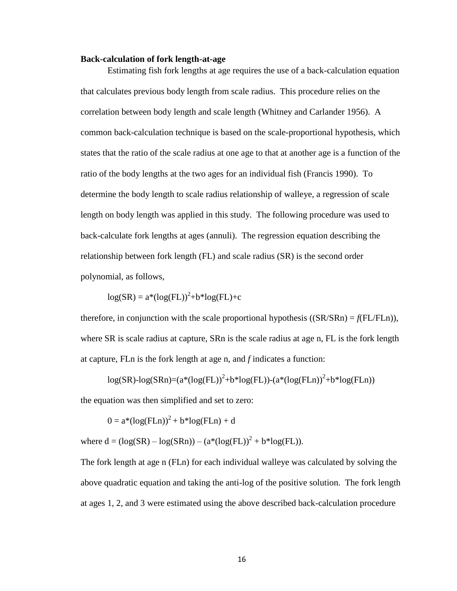### <span id="page-25-0"></span>**Back-calculation of fork length-at-age**

Estimating fish fork lengths at age requires the use of a back-calculation equation that calculates previous body length from scale radius. This procedure relies on the correlation between body length and scale length (Whitney and Carlander 1956). A common back-calculation technique is based on the scale-proportional hypothesis, which states that the ratio of the scale radius at one age to that at another age is a function of the ratio of the body lengths at the two ages for an individual fish (Francis 1990). To determine the body length to scale radius relationship of walleye, a regression of scale length on body length was applied in this study. The following procedure was used to back-calculate fork lengths at ages (annuli). The regression equation describing the relationship between fork length (FL) and scale radius (SR) is the second order polynomial, as follows,

$$
log(SR) = a^*(log(FL))^2 + b^*log(FL) + c
$$

therefore, in conjunction with the scale proportional hypothesis  $((SR/SRn) = f(FL/FLn)),$ where SR is scale radius at capture, SRn is the scale radius at age n, FL is the fork length at capture, FLn is the fork length at age n, and *f* indicates a function:

$$
log(SR) - log(SRn) = (a*(log(FL))^{2} + b*log(FL)) - (a*(log(FLn))^{2} + b*log(FLn))
$$

the equation was then simplified and set to zero:

$$
0 = a^*(log(FLn))^2 + b^*log(FLn) + d
$$

where  $d = (log(SR) - log(SRn)) - (a*(log(FL))^{2} + b*log(FL)).$ 

The fork length at age n (FLn) for each individual walleye was calculated by solving the above quadratic equation and taking the anti-log of the positive solution. The fork length at ages 1, 2, and 3 were estimated using the above described back-calculation procedure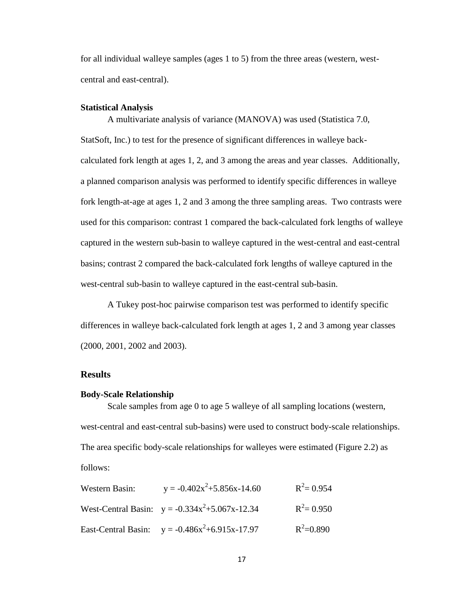for all individual walleye samples (ages 1 to 5) from the three areas (western, westcentral and east-central).

#### <span id="page-26-0"></span>**Statistical Analysis**

A multivariate analysis of variance (MANOVA) was used (Statistica 7.0, StatSoft, Inc.) to test for the presence of significant differences in walleye backcalculated fork length at ages 1, 2, and 3 among the areas and year classes. Additionally, a planned comparison analysis was performed to identify specific differences in walleye fork length-at-age at ages 1, 2 and 3 among the three sampling areas. Two contrasts were used for this comparison: contrast 1 compared the back-calculated fork lengths of walleye captured in the western sub-basin to walleye captured in the west-central and east-central basins; contrast 2 compared the back-calculated fork lengths of walleye captured in the west-central sub-basin to walleye captured in the east-central sub-basin.

A Tukey post-hoc pairwise comparison test was performed to identify specific differences in walleye back-calculated fork length at ages 1, 2 and 3 among year classes (2000, 2001, 2002 and 2003).

## <span id="page-26-1"></span>**Results**

#### <span id="page-26-2"></span>**Body-Scale Relationship**

Scale samples from age 0 to age 5 walleye of all sampling locations (western, west-central and east-central sub-basins) were used to construct body-scale relationships. The area specific body-scale relationships for walleyes were estimated (Figure 2.2) as follows:

| Western Basin: | $y = -0.402x^2 + 5.856x - 14.60$                     | $R^2 = 0.954$ |
|----------------|------------------------------------------------------|---------------|
|                | West-Central Basin: $y = -0.334x^2 + 5.067x - 12.34$ | $R^2$ = 0.950 |
|                | East-Central Basin: $y = -0.486x^2 + 6.915x - 17.97$ | $R^2=0.890$   |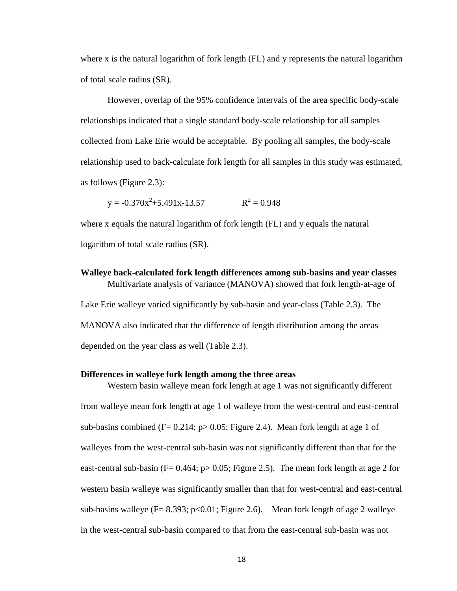where x is the natural logarithm of fork length (FL) and y represents the natural logarithm of total scale radius (SR).

However, overlap of the 95% confidence intervals of the area specific body-scale relationships indicated that a single standard body-scale relationship for all samples collected from Lake Erie would be acceptable. By pooling all samples, the body-scale relationship used to back-calculate fork length for all samples in this study was estimated, as follows (Figure 2.3):

 $y = -0.370x^2 + 5.491x - 13.57$   $R^2 = 0.948$ 

where x equals the natural logarithm of fork length (FL) and y equals the natural logarithm of total scale radius (SR).

<span id="page-27-0"></span>**Walleye back-calculated fork length differences among sub-basins and year classes** Multivariate analysis of variance (MANOVA) showed that fork length-at-age of Lake Erie walleye varied significantly by sub-basin and year-class (Table 2.3). The MANOVA also indicated that the difference of length distribution among the areas depended on the year class as well (Table 2.3).

### **Differences in walleye fork length among the three areas**

Western basin walleye mean fork length at age 1 was not significantly different from walleye mean fork length at age 1 of walleye from the west-central and east-central sub-basins combined ( $F = 0.214$ ;  $p > 0.05$ ; Figure 2.4). Mean fork length at age 1 of walleyes from the west-central sub-basin was not significantly different than that for the east-central sub-basin ( $F= 0.464$ ;  $p > 0.05$ ; Figure 2.5). The mean fork length at age 2 for western basin walleye was significantly smaller than that for west-central and east-central sub-basins walleye ( $F = 8.393$ ;  $p < 0.01$ ; Figure 2.6). Mean fork length of age 2 walleye in the west-central sub-basin compared to that from the east-central sub-basin was not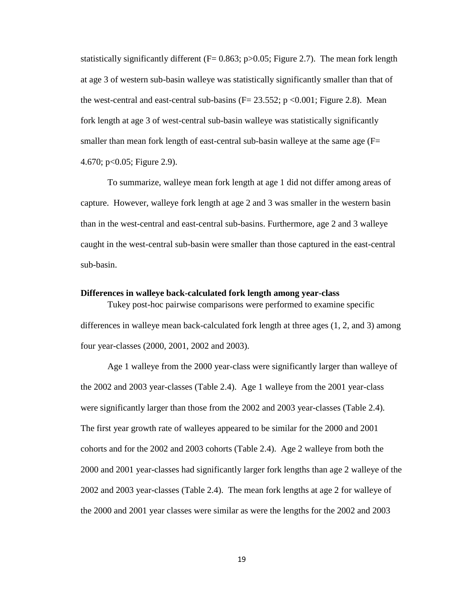statistically significantly different  $(F= 0.863; p>0.05;$  Figure 2.7). The mean fork length at age 3 of western sub-basin walleye was statistically significantly smaller than that of the west-central and east-central sub-basins  $(F = 23.552; p \lt 0.001; Figure 2.8)$ . Mean fork length at age 3 of west-central sub-basin walleye was statistically significantly smaller than mean fork length of east-central sub-basin walleye at the same age (F= 4.670; p<0.05; Figure 2.9).

To summarize, walleye mean fork length at age 1 did not differ among areas of capture. However, walleye fork length at age 2 and 3 was smaller in the western basin than in the west-central and east-central sub-basins. Furthermore, age 2 and 3 walleye caught in the west-central sub-basin were smaller than those captured in the east-central sub-basin.

### **Differences in walleye back-calculated fork length among year-class**

Tukey post-hoc pairwise comparisons were performed to examine specific differences in walleye mean back-calculated fork length at three ages (1, 2, and 3) among four year-classes (2000, 2001, 2002 and 2003).

Age 1 walleye from the 2000 year-class were significantly larger than walleye of the 2002 and 2003 year-classes (Table 2.4). Age 1 walleye from the 2001 year-class were significantly larger than those from the 2002 and 2003 year-classes (Table 2.4). The first year growth rate of walleyes appeared to be similar for the 2000 and 2001 cohorts and for the 2002 and 2003 cohorts (Table 2.4). Age 2 walleye from both the 2000 and 2001 year-classes had significantly larger fork lengths than age 2 walleye of the 2002 and 2003 year-classes (Table 2.4). The mean fork lengths at age 2 for walleye of the 2000 and 2001 year classes were similar as were the lengths for the 2002 and 2003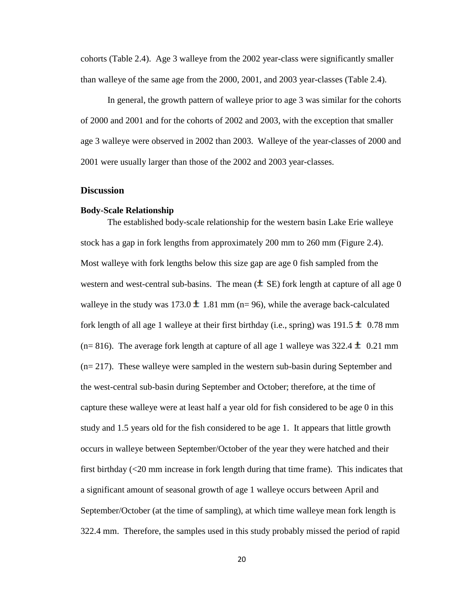cohorts (Table 2.4). Age 3 walleye from the 2002 year-class were significantly smaller than walleye of the same age from the 2000, 2001, and 2003 year-classes (Table 2.4).

In general, the growth pattern of walleye prior to age 3 was similar for the cohorts of 2000 and 2001 and for the cohorts of 2002 and 2003, with the exception that smaller age 3 walleye were observed in 2002 than 2003. Walleye of the year-classes of 2000 and 2001 were usually larger than those of the 2002 and 2003 year-classes.

#### <span id="page-29-0"></span>**Discussion**

#### <span id="page-29-1"></span>**Body-Scale Relationship**

The established body-scale relationship for the western basin Lake Erie walleye stock has a gap in fork lengths from approximately 200 mm to 260 mm (Figure 2.4). Most walleye with fork lengths below this size gap are age 0 fish sampled from the western and west-central sub-basins. The mean  $(\pm \text{ SE})$  fork length at capture of all age 0 walleye in the study was  $173.0 \pm 1.81$  mm (n= 96), while the average back-calculated fork length of all age 1 walleye at their first birthday (i.e., spring) was 191.5  $\pm$  0.78 mm (n= 816). The average fork length at capture of all age 1 walleye was  $322.4 \pm 0.21$  mm (n= 217). These walleye were sampled in the western sub-basin during September and the west-central sub-basin during September and October; therefore, at the time of capture these walleye were at least half a year old for fish considered to be age 0 in this study and 1.5 years old for the fish considered to be age 1. It appears that little growth occurs in walleye between September/October of the year they were hatched and their first birthday (<20 mm increase in fork length during that time frame). This indicates that a significant amount of seasonal growth of age 1 walleye occurs between April and September/October (at the time of sampling), at which time walleye mean fork length is 322.4 mm. Therefore, the samples used in this study probably missed the period of rapid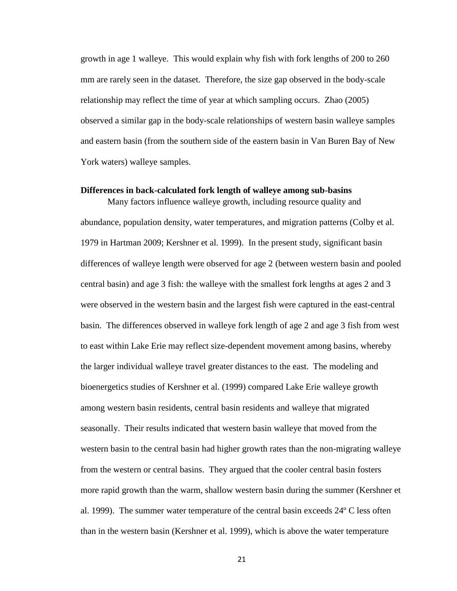growth in age 1 walleye. This would explain why fish with fork lengths of 200 to 260 mm are rarely seen in the dataset. Therefore, the size gap observed in the body-scale relationship may reflect the time of year at which sampling occurs. Zhao (2005) observed a similar gap in the body-scale relationships of western basin walleye samples and eastern basin (from the southern side of the eastern basin in Van Buren Bay of New York waters) walleye samples.

# <span id="page-30-0"></span>**Differences in back-calculated fork length of walleye among sub-basins**

Many factors influence walleye growth, including resource quality and abundance, population density, water temperatures, and migration patterns (Colby et al. 1979 in Hartman 2009; Kershner et al. 1999). In the present study, significant basin differences of walleye length were observed for age 2 (between western basin and pooled central basin) and age 3 fish: the walleye with the smallest fork lengths at ages 2 and 3 were observed in the western basin and the largest fish were captured in the east-central basin. The differences observed in walleye fork length of age 2 and age 3 fish from west to east within Lake Erie may reflect size-dependent movement among basins, whereby the larger individual walleye travel greater distances to the east. The modeling and bioenergetics studies of Kershner et al. (1999) compared Lake Erie walleye growth among western basin residents, central basin residents and walleye that migrated seasonally. Their results indicated that western basin walleye that moved from the western basin to the central basin had higher growth rates than the non-migrating walleye from the western or central basins. They argued that the cooler central basin fosters more rapid growth than the warm, shallow western basin during the summer (Kershner et al. 1999). The summer water temperature of the central basin exceeds 24º C less often than in the western basin (Kershner et al. 1999), which is above the water temperature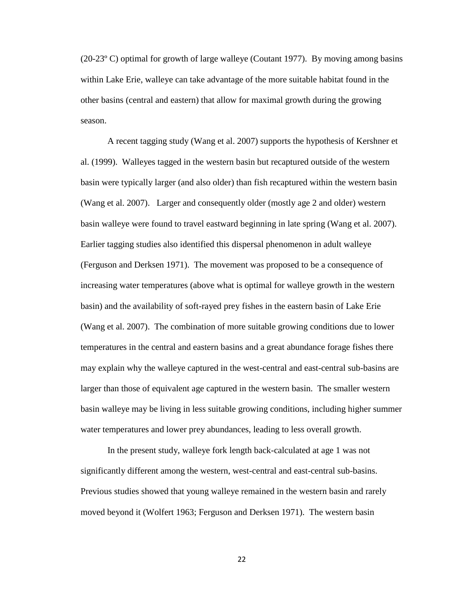(20-23º C) optimal for growth of large walleye (Coutant 1977). By moving among basins within Lake Erie, walleye can take advantage of the more suitable habitat found in the other basins (central and eastern) that allow for maximal growth during the growing season.

A recent tagging study (Wang et al. 2007) supports the hypothesis of Kershner et al. (1999). Walleyes tagged in the western basin but recaptured outside of the western basin were typically larger (and also older) than fish recaptured within the western basin (Wang et al. 2007). Larger and consequently older (mostly age 2 and older) western basin walleye were found to travel eastward beginning in late spring (Wang et al. 2007). Earlier tagging studies also identified this dispersal phenomenon in adult walleye (Ferguson and Derksen 1971). The movement was proposed to be a consequence of increasing water temperatures (above what is optimal for walleye growth in the western basin) and the availability of soft-rayed prey fishes in the eastern basin of Lake Erie (Wang et al. 2007). The combination of more suitable growing conditions due to lower temperatures in the central and eastern basins and a great abundance forage fishes there may explain why the walleye captured in the west-central and east-central sub-basins are larger than those of equivalent age captured in the western basin. The smaller western basin walleye may be living in less suitable growing conditions, including higher summer water temperatures and lower prey abundances, leading to less overall growth.

In the present study, walleye fork length back-calculated at age 1 was not significantly different among the western, west-central and east-central sub-basins. Previous studies showed that young walleye remained in the western basin and rarely moved beyond it (Wolfert 1963; Ferguson and Derksen 1971). The western basin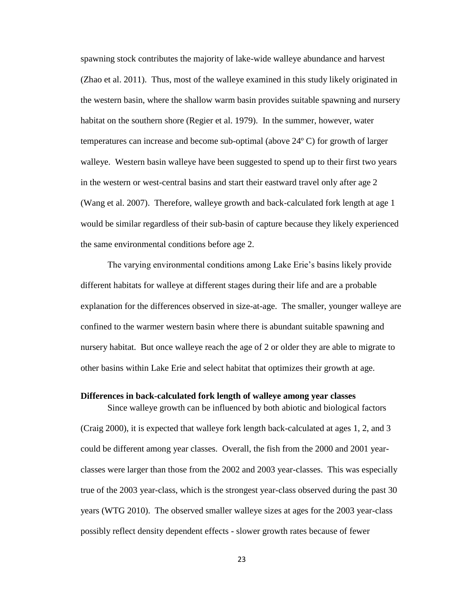spawning stock contributes the majority of lake-wide walleye abundance and harvest (Zhao et al. 2011). Thus, most of the walleye examined in this study likely originated in the western basin, where the shallow warm basin provides suitable spawning and nursery habitat on the southern shore (Regier et al. 1979). In the summer, however, water temperatures can increase and become sub-optimal (above 24º C) for growth of larger walleye. Western basin walleye have been suggested to spend up to their first two years in the western or west-central basins and start their eastward travel only after age 2 (Wang et al. 2007). Therefore, walleye growth and back-calculated fork length at age 1 would be similar regardless of their sub-basin of capture because they likely experienced the same environmental conditions before age 2.

The varying environmental conditions among Lake Erie's basins likely provide different habitats for walleye at different stages during their life and are a probable explanation for the differences observed in size-at-age. The smaller, younger walleye are confined to the warmer western basin where there is abundant suitable spawning and nursery habitat. But once walleye reach the age of 2 or older they are able to migrate to other basins within Lake Erie and select habitat that optimizes their growth at age.

#### <span id="page-32-0"></span>**Differences in back-calculated fork length of walleye among year classes**

Since walleye growth can be influenced by both abiotic and biological factors (Craig 2000), it is expected that walleye fork length back-calculated at ages 1, 2, and 3 could be different among year classes. Overall, the fish from the 2000 and 2001 yearclasses were larger than those from the 2002 and 2003 year-classes. This was especially true of the 2003 year-class, which is the strongest year-class observed during the past 30 years (WTG 2010). The observed smaller walleye sizes at ages for the 2003 year-class possibly reflect density dependent effects - slower growth rates because of fewer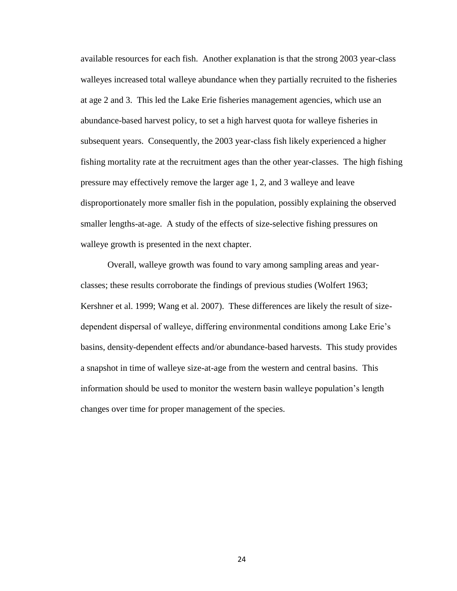available resources for each fish. Another explanation is that the strong 2003 year-class walleyes increased total walleye abundance when they partially recruited to the fisheries at age 2 and 3. This led the Lake Erie fisheries management agencies, which use an abundance-based harvest policy, to set a high harvest quota for walleye fisheries in subsequent years. Consequently, the 2003 year-class fish likely experienced a higher fishing mortality rate at the recruitment ages than the other year-classes. The high fishing pressure may effectively remove the larger age 1, 2, and 3 walleye and leave disproportionately more smaller fish in the population, possibly explaining the observed smaller lengths-at-age. A study of the effects of size-selective fishing pressures on walleye growth is presented in the next chapter.

Overall, walleye growth was found to vary among sampling areas and yearclasses; these results corroborate the findings of previous studies (Wolfert 1963; Kershner et al. 1999; Wang et al. 2007). These differences are likely the result of sizedependent dispersal of walleye, differing environmental conditions among Lake Erie's basins, density-dependent effects and/or abundance-based harvests. This study provides a snapshot in time of walleye size-at-age from the western and central basins. This information should be used to monitor the western basin walleye population's length changes over time for proper management of the species.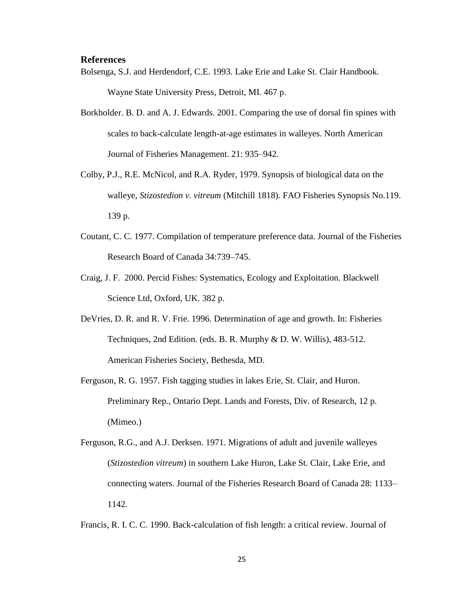### <span id="page-34-0"></span>**References**

- Bolsenga, S.J. and Herdendorf, C.E. 1993. Lake Erie and Lake St. Clair Handbook. Wayne State University Press, Detroit, MI. 467 p.
- Borkholder. B. D. and A. J. Edwards. 2001. Comparing the use of dorsal fin spines with scales to back-calculate length-at-age estimates in walleyes. North American Journal of Fisheries Management. 21: 935–942.
- Colby, P.J., R.E. McNicol, and R.A. Ryder, 1979. Synopsis of biological data on the walleye, *Stizostedion v. vitreum* (Mitchill 1818). FAO Fisheries Synopsis No.119. 139 p.
- Coutant, C. C. 1977. Compilation of temperature preference data. Journal of the Fisheries Research Board of Canada 34:739–745.
- Craig, J. F. 2000. Percid Fishes: Systematics, Ecology and Exploitation. Blackwell Science Ltd, Oxford, UK. 382 p.
- DeVries, D. R. and R. V. Frie. 1996. Determination of age and growth. In: Fisheries Techniques, 2nd Edition. (eds. B. R. Murphy & D. W. Willis), 483-512. American Fisheries Society, Bethesda, MD.
- Ferguson, R. G. 1957. Fish tagging studies in lakes Erie, St. Clair, and Huron. Preliminary Rep., Ontario Dept. Lands and Forests, Div. of Research, 12 p. (Mimeo.)
- Ferguson, R.G., and A.J. Derksen. 1971. Migrations of adult and juvenile walleyes (*Stizostedion vitreum*) in southern Lake Huron, Lake St. Clair, Lake Erie, and connecting waters. Journal of the Fisheries Research Board of Canada 28: 1133– 1142.

Francis, R. I. C. C. 1990. Back-calculation of fish length: a critical review. Journal of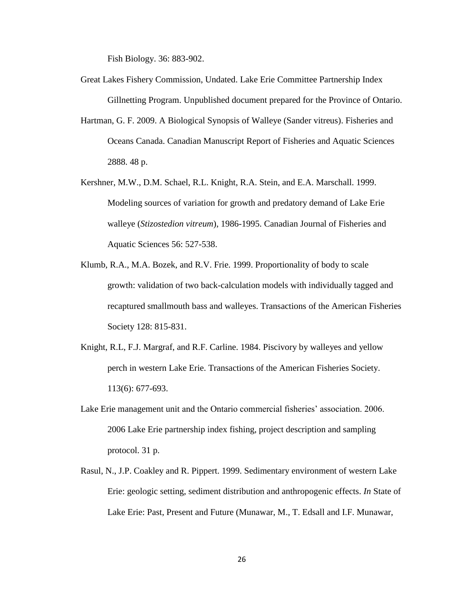Fish Biology. 36: 883-902.

- Great Lakes Fishery Commission, Undated. Lake Erie Committee Partnership Index Gillnetting Program. Unpublished document prepared for the Province of Ontario.
- Hartman, G. F. 2009. A Biological Synopsis of Walleye (Sander vitreus). Fisheries and Oceans Canada. Canadian Manuscript Report of Fisheries and Aquatic Sciences 2888. 48 p.
- Kershner, M.W., D.M. Schael, R.L. Knight, R.A. Stein, and E.A. Marschall. 1999. Modeling sources of variation for growth and predatory demand of Lake Erie walleye (*Stizostedion vitreum*), 1986-1995. Canadian Journal of Fisheries and Aquatic Sciences 56: 527-538.
- Klumb, R.A., M.A. Bozek, and R.V. Frie. 1999. Proportionality of body to scale growth: validation of two back-calculation models with individually tagged and recaptured smallmouth bass and walleyes. Transactions of the American Fisheries Society 128: 815-831.
- Knight, R.L, F.J. Margraf, and R.F. Carline. 1984. Piscivory by walleyes and yellow perch in western Lake Erie. Transactions of the American Fisheries Society. 113(6): 677-693.
- Lake Erie management unit and the Ontario commercial fisheries' association. 2006. 2006 Lake Erie partnership index fishing, project description and sampling protocol. 31 p.
- Rasul, N., J.P. Coakley and R. Pippert. 1999. Sedimentary environment of western Lake Erie: geologic setting, sediment distribution and anthropogenic effects. *In* State of Lake Erie: Past, Present and Future (Munawar, M., T. Edsall and I.F. Munawar,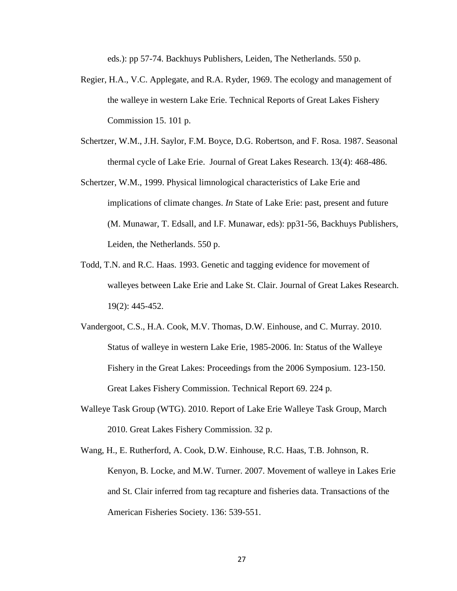eds.): pp 57-74. Backhuys Publishers, Leiden, The Netherlands. 550 p.

- Regier, H.A., V.C. Applegate, and R.A. Ryder, 1969. The ecology and management of the walleye in western Lake Erie. Technical Reports of Great Lakes Fishery Commission 15. 101 p.
- Schertzer, W.M., J.H. Saylor, F.M. Boyce, D.G. Robertson, and F. Rosa. 1987. Seasonal thermal cycle of Lake Erie. Journal of Great Lakes Research. 13(4): 468-486.
- Schertzer, W.M., 1999. Physical limnological characteristics of Lake Erie and implications of climate changes. *In* State of Lake Erie: past, present and future (M. Munawar, T. Edsall, and I.F. Munawar, eds): pp31-56, Backhuys Publishers, Leiden, the Netherlands. 550 p.
- Todd, T.N. and R.C. Haas. 1993. Genetic and tagging evidence for movement of walleyes between Lake Erie and Lake St. Clair. Journal of Great Lakes Research. 19(2): 445-452.
- Vandergoot, C.S., H.A. Cook, M.V. Thomas, D.W. Einhouse, and C. Murray. 2010. Status of walleye in western Lake Erie, 1985-2006. In: Status of the Walleye Fishery in the Great Lakes: Proceedings from the 2006 Symposium. 123-150. Great Lakes Fishery Commission. Technical Report 69. 224 p.
- Walleye Task Group (WTG). 2010. Report of Lake Erie Walleye Task Group, March 2010. Great Lakes Fishery Commission. 32 p.
- Wang, H., E. Rutherford, A. Cook, D.W. Einhouse, R.C. Haas, T.B. Johnson, R. Kenyon, B. Locke, and M.W. Turner. 2007. Movement of walleye in Lakes Erie and St. Clair inferred from tag recapture and fisheries data. Transactions of the American Fisheries Society. 136: 539-551.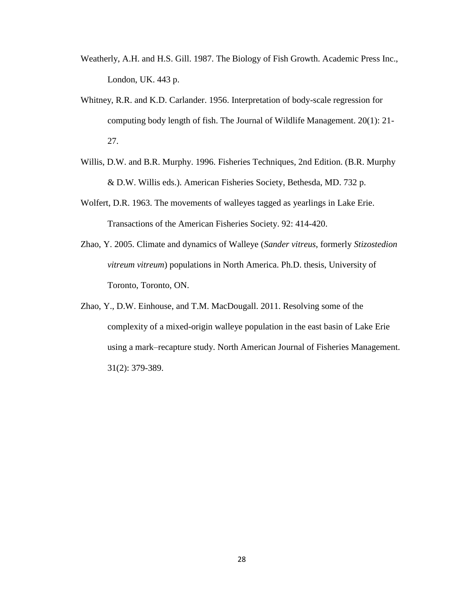- Weatherly, A.H. and H.S. Gill. 1987. The Biology of Fish Growth. Academic Press Inc., London, UK. 443 p.
- Whitney, R.R. and K.D. Carlander. 1956. Interpretation of body-scale regression for computing body length of fish. The Journal of Wildlife Management. 20(1): 21- 27.
- Willis, D.W. and B.R. Murphy. 1996. Fisheries Techniques, 2nd Edition. (B.R. Murphy & D.W. Willis eds.). American Fisheries Society, Bethesda, MD. 732 p.
- Wolfert, D.R. 1963. The movements of walleyes tagged as yearlings in Lake Erie. Transactions of the American Fisheries Society. 92: 414-420.
- Zhao, Y. 2005. Climate and dynamics of Walleye (*Sander vitreus*, formerly *Stizostedion vitreum vitreum*) populations in North America. Ph.D. thesis, University of Toronto, Toronto, ON.
- Zhao, Y., D.W. Einhouse, and T.M. MacDougall. 2011. Resolving some of the complexity of a mixed-origin walleye population in the east basin of Lake Erie using a mark–recapture study. North American Journal of Fisheries Management. 31(2): 379-389.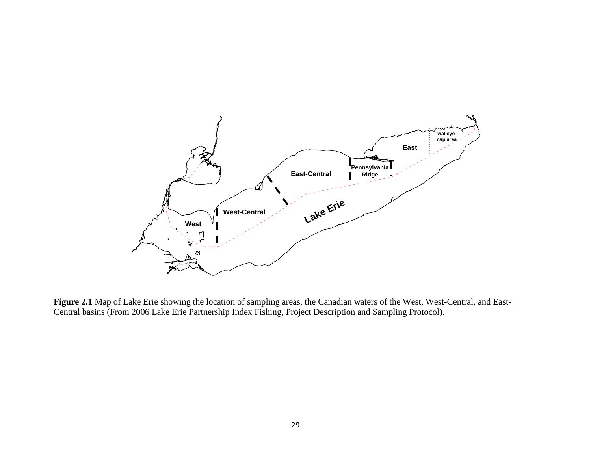

**Figure 2.1** Map of Lake Erie showing the location of sampling areas, the Canadian waters of the West, West-Central, and East-Central basins (From 2006 Lake Erie Partnership Index Fishing, Project Description and Sampling Protocol).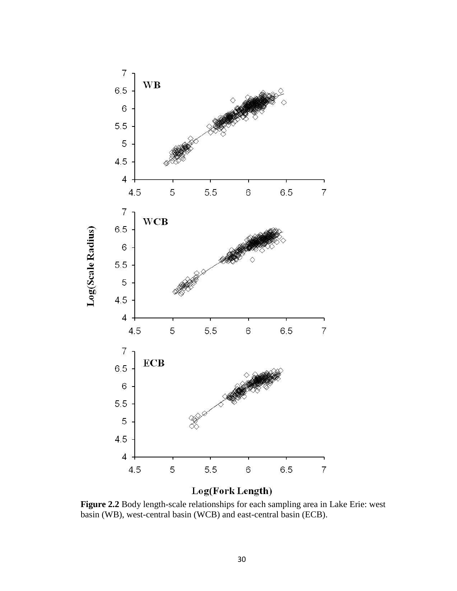

**Figure 2.2** Body length-scale relationships for each sampling area in Lake Erie: west basin (WB), west-central basin (WCB) and east-central basin (ECB).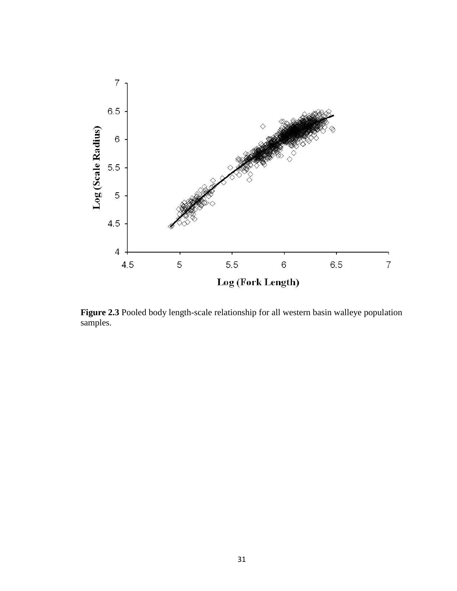

**Figure 2.3** Pooled body length-scale relationship for all western basin walleye population samples.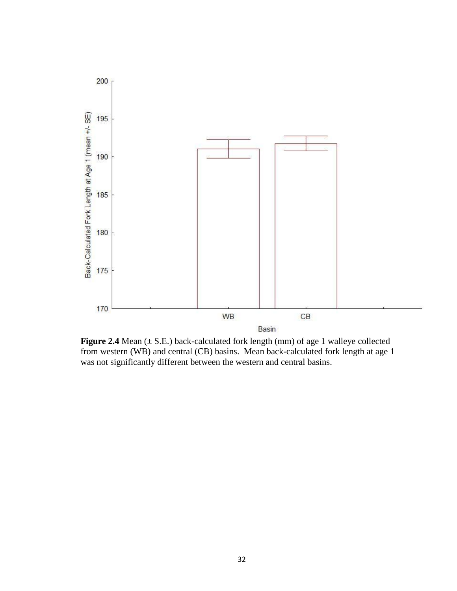

Figure 2.4 Mean ( $\pm$  S.E.) back-calculated fork length (mm) of age 1 walleye collected from western (WB) and central (CB) basins. Mean back-calculated fork length at age 1 was not significantly different between the western and central basins.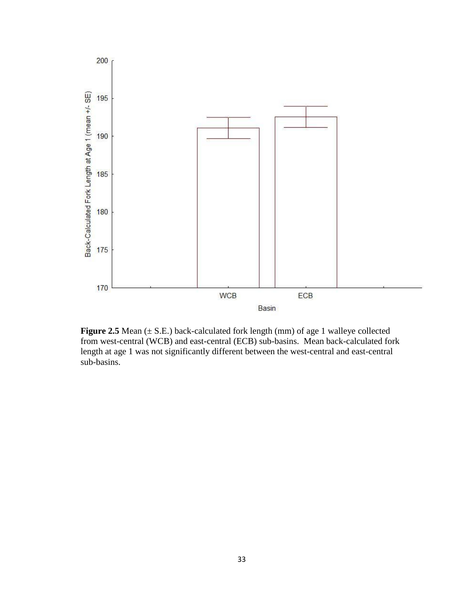

Figure 2.5 Mean ( $\pm$  S.E.) back-calculated fork length (mm) of age 1 walleye collected from west-central (WCB) and east-central (ECB) sub-basins. Mean back-calculated fork length at age 1 was not significantly different between the west-central and east-central sub-basins.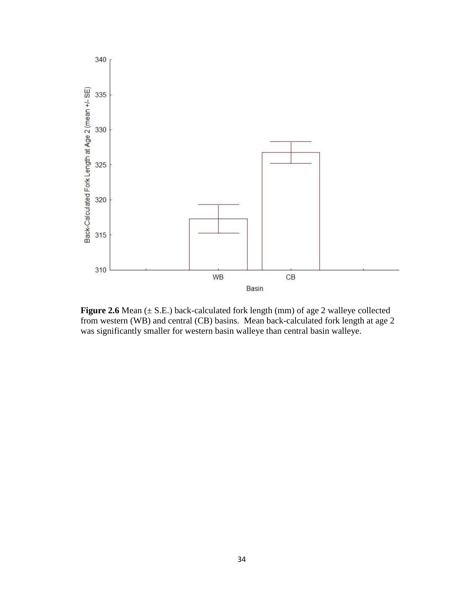

**Figure 2.6** Mean ( $\pm$  S.E.) back-calculated fork length (mm) of age 2 walleye collected from western (WB) and central (CB) basins. Mean back-calculated fork length at age 2 was significantly smaller for western basin walleye than central basin walleye.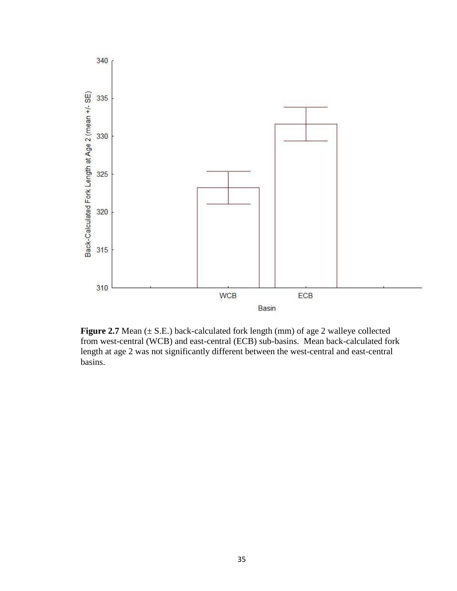

Figure 2.7 Mean ( $\pm$  S.E.) back-calculated fork length (mm) of age 2 walleye collected from west-central (WCB) and east-central (ECB) sub-basins. Mean back-calculated fork length at age 2 was not significantly different between the west-central and east-central basins.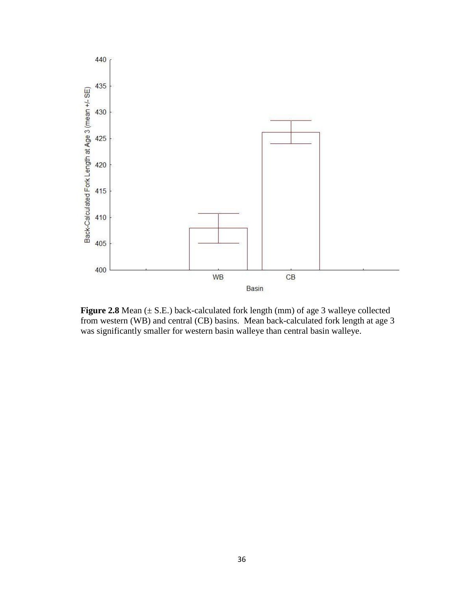

**Figure 2.8** Mean ( $\pm$  S.E.) back-calculated fork length (mm) of age 3 walleye collected from western (WB) and central (CB) basins. Mean back-calculated fork length at age 3 was significantly smaller for western basin walleye than central basin walleye.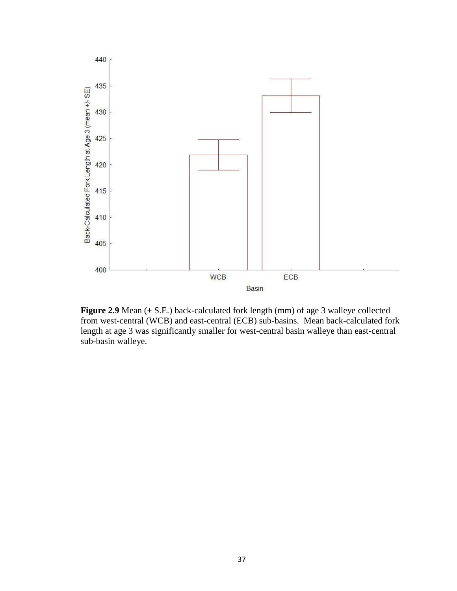

Figure 2.9 Mean ( $\pm$  S.E.) back-calculated fork length (mm) of age 3 walleye collected from west-central (WCB) and east-central (ECB) sub-basins. Mean back-calculated fork length at age 3 was significantly smaller for west-central basin walleye than east-central sub-basin walleye.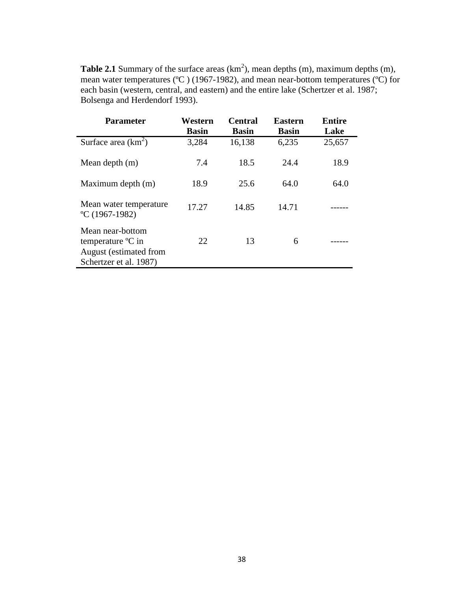**Table 2.1** Summary of the surface areas  $(km^2)$ , mean depths  $(m)$ , maximum depths  $(m)$ , mean water temperatures (ºC ) (1967-1982), and mean near-bottom temperatures (ºC) for each basin (western, central, and eastern) and the entire lake (Schertzer et al. 1987; Bolsenga and Herdendorf 1993).

| <b>Parameter</b>                                                                                        | Western<br><b>Basin</b> | <b>Central</b><br><b>Basin</b> | <b>Eastern</b><br><b>Basin</b> | Entire<br>Lake |
|---------------------------------------------------------------------------------------------------------|-------------------------|--------------------------------|--------------------------------|----------------|
| Surface area $(km^2)$                                                                                   | 3,284                   | 16,138                         | 6,235                          | 25,657         |
| Mean depth $(m)$                                                                                        | 7.4                     | 18.5                           | 24.4                           | 18.9           |
| Maximum depth (m)                                                                                       | 18.9                    | 25.6                           | 64.0                           | 64.0           |
| Mean water temperature<br>$°C(1967-1982)$                                                               | 17.27                   | 14.85                          | 14.71                          |                |
| Mean near-bottom<br>temperature $\rm{^{\circ}C}$ in<br>August (estimated from<br>Schertzer et al. 1987) | 22                      | 13                             | 6                              |                |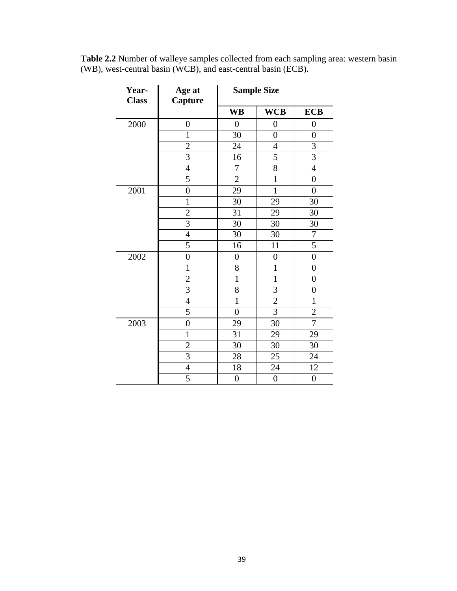| Year-<br><b>Class</b> | Age at<br>Capture |           | <b>Sample Size</b> |            |
|-----------------------|-------------------|-----------|--------------------|------------|
|                       |                   | <b>WB</b> | <b>WCB</b>         | <b>ECB</b> |
| 2000                  |                   |           |                    |            |
|                       |                   | 30        |                    |            |
|                       |                   |           |                    |            |

2001 0 29 1 0

2002 0 0 0 0 0

2003 0 29 30 7<br>1 31 29 29

Table 2.2 Number of walleye samples collected from each sampling area: western basin (WB), west-central basin (WCB), and east-central basin (ECB). (WB), west-central basin (WCB), and east-central basin (ECB).

> 3 16 5 3 4 7 8 4  $5 \qquad \qquad 2 \qquad \qquad 1 \qquad \qquad 0$

1 30 29 30 2 | 31 | 29 | 30 3 | 30 | 30 | 30 4 30 30 7 5 16 11 5

1 8 1 0 2 1 1 1 0 3 8 3 0 4 1 2 1  $5 \qquad \qquad 0 \qquad \qquad 3 \qquad \qquad 2$ 

1 31 29 29 2 | 30 | 30 | 30 3 28 25 24 4 | 18 | 24 | 12 5 0 0 0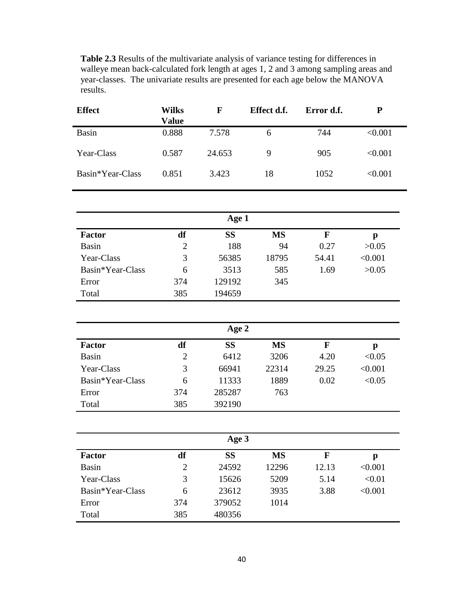**Table 2.3** Results of the multivariate analysis of variance testing for differences in walleye mean back-calculated fork length at ages 1, 2 and 3 among sampling areas and year-classes. The univariate results are presented for each age below the MANOVA results.

| <b>Effect</b>    | Wilks<br><b>Value</b> | F      | Effect d.f. | Error d.f. | P       |
|------------------|-----------------------|--------|-------------|------------|---------|
| <b>Basin</b>     | 0.888                 | 7.578  | 6           | 744        | < 0.001 |
| Year-Class       | 0.587                 | 24.653 | 9           | 905        | < 0.001 |
| Basin*Year-Class | 0.851                 | 3.423  | 18          | 1052       | < 0.001 |

| Age 1            |                |           |           |       |         |
|------------------|----------------|-----------|-----------|-------|---------|
| <b>Factor</b>    | df             | <b>SS</b> | <b>MS</b> | F     | p       |
| <b>Basin</b>     | $\overline{2}$ | 188       | 94        | 0.27  | >0.05   |
| Year-Class       | 3              | 56385     | 18795     | 54.41 | < 0.001 |
| Basin*Year-Class | 6              | 3513      | 585       | 1.69  | >0.05   |
| Error            | 374            | 129192    | 345       |       |         |
| Total            | 385            | 194659    |           |       |         |

|                  |     | Age 2     |           |             |         |
|------------------|-----|-----------|-----------|-------------|---------|
| <b>Factor</b>    | df  | <b>SS</b> | <b>MS</b> | $\mathbf F$ | p       |
| <b>Basin</b>     | 2   | 6412      | 3206      | 4.20        | < 0.05  |
| Year-Class       | 3   | 66941     | 22314     | 29.25       | < 0.001 |
| Basin*Year-Class | 6   | 11333     | 1889      | 0.02        | < 0.05  |
| Error            | 374 | 285287    | 763       |             |         |
| Total            | 385 | 392190    |           |             |         |

|                  |     | Age 3     |           |           |         |
|------------------|-----|-----------|-----------|-----------|---------|
| <b>Factor</b>    | df  | <b>SS</b> | <b>MS</b> | ${\bf F}$ | р       |
| <b>Basin</b>     | 2   | 24592     | 12296     | 12.13     | < 0.001 |
| Year-Class       | 3   | 15626     | 5209      | 5.14      | < 0.01  |
| Basin*Year-Class | 6   | 23612     | 3935      | 3.88      | < 0.001 |
| Error            | 374 | 379052    | 1014      |           |         |
| Total            | 385 | 480356    |           |           |         |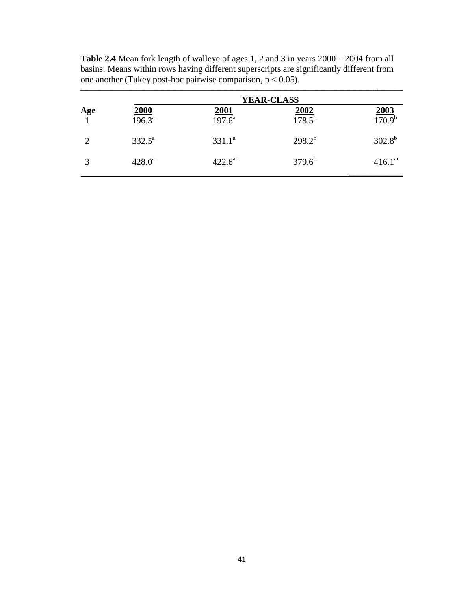|     | <b>YEAR-CLASS</b>      |                        |                          |                      |  |  |
|-----|------------------------|------------------------|--------------------------|----------------------|--|--|
| Age | $\frac{2000}{196.3^a}$ | $\frac{2001}{197.6^a}$ | $\frac{2002}{178.5^{b}}$ | $\frac{2003}{170.9}$ |  |  |
| ∍   | $332.5^{\circ}$        | $331.1^a$              | $298.2^{b}$              | $302.8^{b}$          |  |  |
|     | $428.0^a$              | $422.6^{\rm ac}$       | $379.6^{b}$              | $416.1^{ac}$         |  |  |

**Table 2.4** Mean fork length of walleye of ages 1, 2 and 3 in years 2000 – 2004 from all basins. Means within rows having different superscripts are significantly different from one another (Tukey post-hoc pairwise comparison,  $p < 0.05$ ).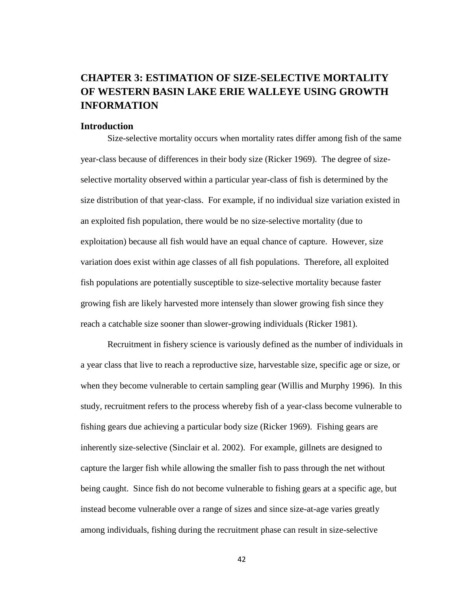# **CHAPTER 3: ESTIMATION OF SIZE-SELECTIVE MORTALITY OF WESTERN BASIN LAKE ERIE WALLEYE USING GROWTH INFORMATION**

#### **Introduction**

Size-selective mortality occurs when mortality rates differ among fish of the same year-class because of differences in their body size (Ricker 1969). The degree of sizeselective mortality observed within a particular year-class of fish is determined by the size distribution of that year-class. For example, if no individual size variation existed in an exploited fish population, there would be no size-selective mortality (due to exploitation) because all fish would have an equal chance of capture. However, size variation does exist within age classes of all fish populations. Therefore, all exploited fish populations are potentially susceptible to size-selective mortality because faster growing fish are likely harvested more intensely than slower growing fish since they reach a catchable size sooner than slower-growing individuals (Ricker 1981).

Recruitment in fishery science is variously defined as the number of individuals in a year class that live to reach a reproductive size, harvestable size, specific age or size, or when they become vulnerable to certain sampling gear (Willis and Murphy 1996). In this study, recruitment refers to the process whereby fish of a year-class become vulnerable to fishing gears due achieving a particular body size (Ricker 1969). Fishing gears are inherently size-selective (Sinclair et al. 2002). For example, gillnets are designed to capture the larger fish while allowing the smaller fish to pass through the net without being caught. Since fish do not become vulnerable to fishing gears at a specific age, but instead become vulnerable over a range of sizes and since size-at-age varies greatly among individuals, fishing during the recruitment phase can result in size-selective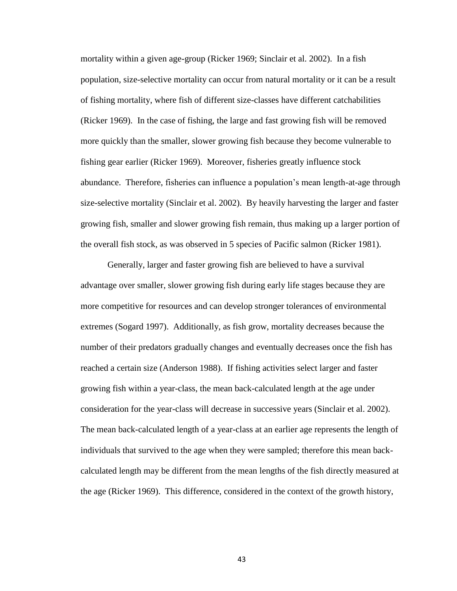mortality within a given age-group (Ricker 1969; Sinclair et al. 2002). In a fish population, size-selective mortality can occur from natural mortality or it can be a result of fishing mortality, where fish of different size-classes have different catchabilities (Ricker 1969). In the case of fishing, the large and fast growing fish will be removed more quickly than the smaller, slower growing fish because they become vulnerable to fishing gear earlier (Ricker 1969). Moreover, fisheries greatly influence stock abundance. Therefore, fisheries can influence a population's mean length-at-age through size-selective mortality (Sinclair et al. 2002). By heavily harvesting the larger and faster growing fish, smaller and slower growing fish remain, thus making up a larger portion of the overall fish stock, as was observed in 5 species of Pacific salmon (Ricker 1981).

Generally, larger and faster growing fish are believed to have a survival advantage over smaller, slower growing fish during early life stages because they are more competitive for resources and can develop stronger tolerances of environmental extremes (Sogard 1997). Additionally, as fish grow, mortality decreases because the number of their predators gradually changes and eventually decreases once the fish has reached a certain size (Anderson 1988). If fishing activities select larger and faster growing fish within a year-class, the mean back-calculated length at the age under consideration for the year-class will decrease in successive years (Sinclair et al. 2002). The mean back-calculated length of a year-class at an earlier age represents the length of individuals that survived to the age when they were sampled; therefore this mean backcalculated length may be different from the mean lengths of the fish directly measured at the age (Ricker 1969). This difference, considered in the context of the growth history,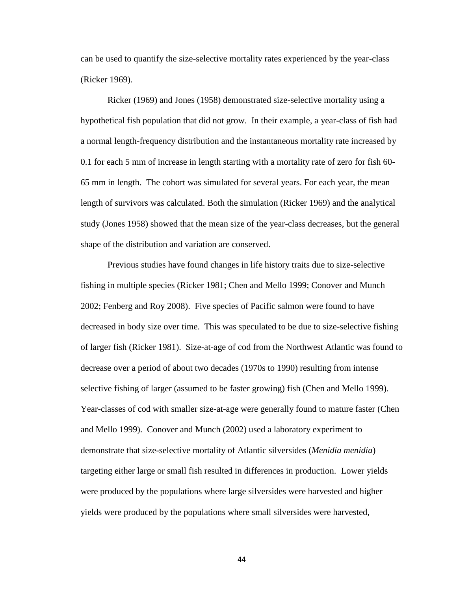can be used to quantify the size-selective mortality rates experienced by the year-class (Ricker 1969).

Ricker (1969) and Jones (1958) demonstrated size-selective mortality using a hypothetical fish population that did not grow. In their example, a year-class of fish had a normal length-frequency distribution and the instantaneous mortality rate increased by 0.1 for each 5 mm of increase in length starting with a mortality rate of zero for fish 60- 65 mm in length. The cohort was simulated for several years. For each year, the mean length of survivors was calculated. Both the simulation (Ricker 1969) and the analytical study (Jones 1958) showed that the mean size of the year-class decreases, but the general shape of the distribution and variation are conserved.

Previous studies have found changes in life history traits due to size-selective fishing in multiple species (Ricker 1981; Chen and Mello 1999; Conover and Munch 2002; Fenberg and Roy 2008). Five species of Pacific salmon were found to have decreased in body size over time. This was speculated to be due to size-selective fishing of larger fish (Ricker 1981). Size-at-age of cod from the Northwest Atlantic was found to decrease over a period of about two decades (1970s to 1990) resulting from intense selective fishing of larger (assumed to be faster growing) fish (Chen and Mello 1999). Year-classes of cod with smaller size-at-age were generally found to mature faster (Chen and Mello 1999). Conover and Munch (2002) used a laboratory experiment to demonstrate that size-selective mortality of Atlantic silversides (*Menidia menidia*) targeting either large or small fish resulted in differences in production. Lower yields were produced by the populations where large silversides were harvested and higher yields were produced by the populations where small silversides were harvested,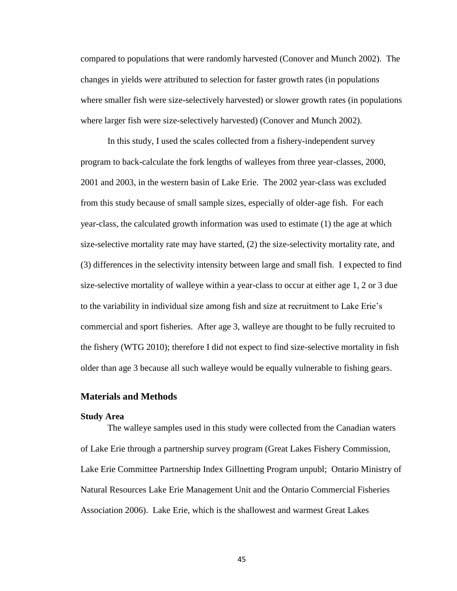compared to populations that were randomly harvested (Conover and Munch 2002). The changes in yields were attributed to selection for faster growth rates (in populations where smaller fish were size-selectively harvested) or slower growth rates (in populations where larger fish were size-selectively harvested) (Conover and Munch 2002).

In this study, I used the scales collected from a fishery-independent survey program to back-calculate the fork lengths of walleyes from three year-classes, 2000, 2001 and 2003, in the western basin of Lake Erie. The 2002 year-class was excluded from this study because of small sample sizes, especially of older-age fish. For each year-class, the calculated growth information was used to estimate (1) the age at which size-selective mortality rate may have started, (2) the size-selectivity mortality rate, and (3) differences in the selectivity intensity between large and small fish. I expected to find size-selective mortality of walleye within a year-class to occur at either age 1, 2 or 3 due to the variability in individual size among fish and size at recruitment to Lake Erie's commercial and sport fisheries. After age 3, walleye are thought to be fully recruited to the fishery (WTG 2010); therefore I did not expect to find size-selective mortality in fish older than age 3 because all such walleye would be equally vulnerable to fishing gears.

# **Materials and Methods**

# **Study Area**

The walleye samples used in this study were collected from the Canadian waters of Lake Erie through a partnership survey program (Great Lakes Fishery Commission, Lake Erie Committee Partnership Index Gillnetting Program unpubl; Ontario Ministry of Natural Resources Lake Erie Management Unit and the Ontario Commercial Fisheries Association 2006). Lake Erie, which is the shallowest and warmest Great Lakes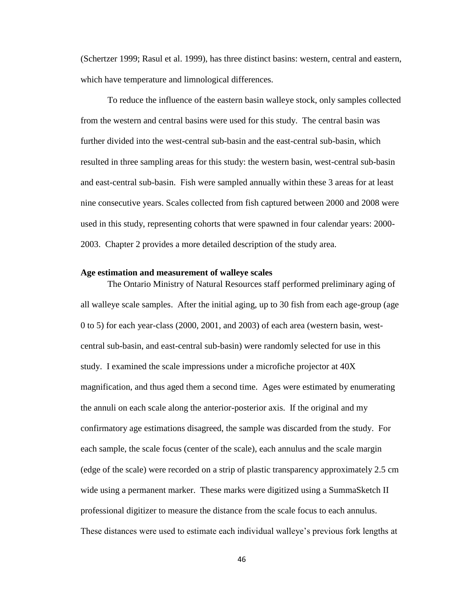(Schertzer 1999; Rasul et al. 1999), has three distinct basins: western, central and eastern, which have temperature and limnological differences.

To reduce the influence of the eastern basin walleye stock, only samples collected from the western and central basins were used for this study. The central basin was further divided into the west-central sub-basin and the east-central sub-basin, which resulted in three sampling areas for this study: the western basin, west-central sub-basin and east-central sub-basin. Fish were sampled annually within these 3 areas for at least nine consecutive years. Scales collected from fish captured between 2000 and 2008 were used in this study, representing cohorts that were spawned in four calendar years: 2000- 2003. Chapter 2 provides a more detailed description of the study area.

#### **Age estimation and measurement of walleye scales**

The Ontario Ministry of Natural Resources staff performed preliminary aging of all walleye scale samples. After the initial aging, up to 30 fish from each age-group (age 0 to 5) for each year-class (2000, 2001, and 2003) of each area (western basin, westcentral sub-basin, and east-central sub-basin) were randomly selected for use in this study. I examined the scale impressions under a microfiche projector at 40X magnification, and thus aged them a second time. Ages were estimated by enumerating the annuli on each scale along the anterior-posterior axis. If the original and my confirmatory age estimations disagreed, the sample was discarded from the study. For each sample, the scale focus (center of the scale), each annulus and the scale margin (edge of the scale) were recorded on a strip of plastic transparency approximately 2.5 cm wide using a permanent marker. These marks were digitized using a SummaSketch II professional digitizer to measure the distance from the scale focus to each annulus. These distances were used to estimate each individual walleye's previous fork lengths at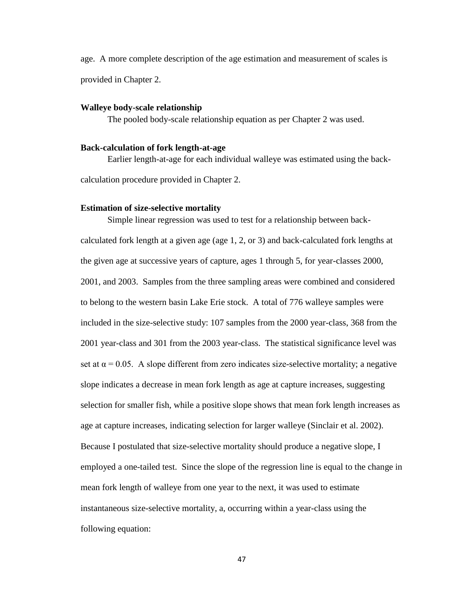age. A more complete description of the age estimation and measurement of scales is provided in Chapter 2.

### **Walleye body-scale relationship**

The pooled body-scale relationship equation as per Chapter 2 was used.

## **Back-calculation of fork length-at-age**

Earlier length-at-age for each individual walleye was estimated using the backcalculation procedure provided in Chapter 2.

#### **Estimation of size-selective mortality**

Simple linear regression was used to test for a relationship between backcalculated fork length at a given age (age 1, 2, or 3) and back-calculated fork lengths at the given age at successive years of capture, ages 1 through 5, for year-classes 2000, 2001, and 2003. Samples from the three sampling areas were combined and considered to belong to the western basin Lake Erie stock. A total of 776 walleye samples were included in the size-selective study: 107 samples from the 2000 year-class, 368 from the 2001 year-class and 301 from the 2003 year-class. The statistical significance level was set at  $\alpha$  = 0.05. A slope different from zero indicates size-selective mortality; a negative slope indicates a decrease in mean fork length as age at capture increases, suggesting selection for smaller fish, while a positive slope shows that mean fork length increases as age at capture increases, indicating selection for larger walleye (Sinclair et al. 2002). Because I postulated that size-selective mortality should produce a negative slope, I employed a one-tailed test. Since the slope of the regression line is equal to the change in mean fork length of walleye from one year to the next, it was used to estimate instantaneous size-selective mortality, a, occurring within a year-class using the following equation: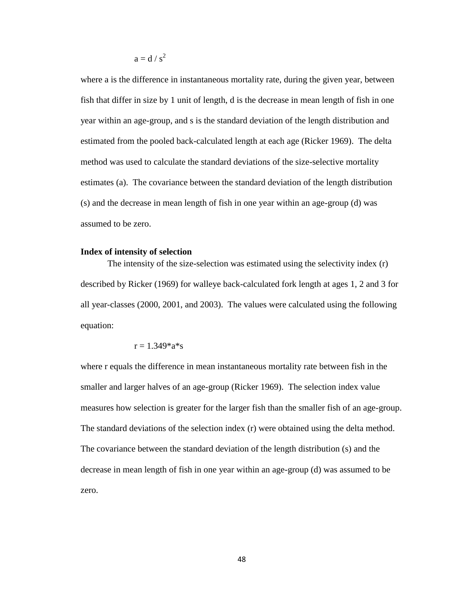$$
a = d / s^2
$$

where a is the difference in instantaneous mortality rate, during the given year, between fish that differ in size by 1 unit of length, d is the decrease in mean length of fish in one year within an age-group, and s is the standard deviation of the length distribution and estimated from the pooled back-calculated length at each age (Ricker 1969). The delta method was used to calculate the standard deviations of the size-selective mortality estimates (a). The covariance between the standard deviation of the length distribution (s) and the decrease in mean length of fish in one year within an age-group (d) was assumed to be zero.

### **Index of intensity of selection**

The intensity of the size-selection was estimated using the selectivity index (r) described by Ricker (1969) for walleye back-calculated fork length at ages 1, 2 and 3 for all year-classes (2000, 2001, and 2003). The values were calculated using the following equation:

$$
r=1.349^*a^*s
$$

where r equals the difference in mean instantaneous mortality rate between fish in the smaller and larger halves of an age-group (Ricker 1969). The selection index value measures how selection is greater for the larger fish than the smaller fish of an age-group. The standard deviations of the selection index (r) were obtained using the delta method. The covariance between the standard deviation of the length distribution (s) and the decrease in mean length of fish in one year within an age-group (d) was assumed to be zero.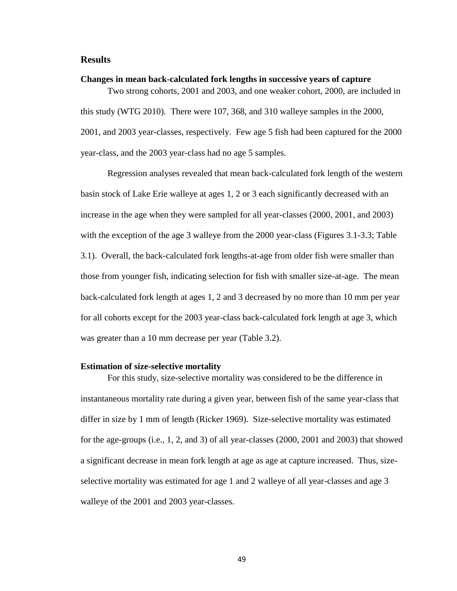# **Results**

# **Changes in mean back-calculated fork lengths in successive years of capture**

Two strong cohorts, 2001 and 2003, and one weaker cohort, 2000, are included in this study (WTG 2010). There were 107, 368, and 310 walleye samples in the 2000, 2001, and 2003 year-classes, respectively. Few age 5 fish had been captured for the 2000 year-class, and the 2003 year-class had no age 5 samples.

Regression analyses revealed that mean back-calculated fork length of the western basin stock of Lake Erie walleye at ages 1, 2 or 3 each significantly decreased with an increase in the age when they were sampled for all year-classes (2000, 2001, and 2003) with the exception of the age 3 walleye from the 2000 year-class (Figures 3.1-3.3; Table 3.1). Overall, the back-calculated fork lengths-at-age from older fish were smaller than those from younger fish, indicating selection for fish with smaller size-at-age. The mean back-calculated fork length at ages 1, 2 and 3 decreased by no more than 10 mm per year for all cohorts except for the 2003 year-class back-calculated fork length at age 3, which was greater than a 10 mm decrease per year (Table 3.2).

#### **Estimation of size-selective mortality**

For this study, size-selective mortality was considered to be the difference in instantaneous mortality rate during a given year, between fish of the same year-class that differ in size by 1 mm of length (Ricker 1969). Size-selective mortality was estimated for the age-groups (i.e., 1, 2, and 3) of all year-classes (2000, 2001 and 2003) that showed a significant decrease in mean fork length at age as age at capture increased. Thus, sizeselective mortality was estimated for age 1 and 2 walleye of all year-classes and age 3 walleye of the 2001 and 2003 year-classes.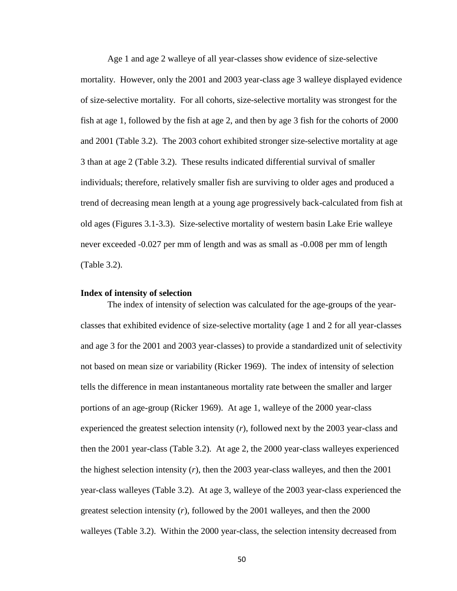Age 1 and age 2 walleye of all year-classes show evidence of size-selective mortality. However, only the 2001 and 2003 year-class age 3 walleye displayed evidence of size-selective mortality. For all cohorts, size-selective mortality was strongest for the fish at age 1, followed by the fish at age 2, and then by age 3 fish for the cohorts of 2000 and 2001 (Table 3.2). The 2003 cohort exhibited stronger size-selective mortality at age 3 than at age 2 (Table 3.2). These results indicated differential survival of smaller individuals; therefore, relatively smaller fish are surviving to older ages and produced a trend of decreasing mean length at a young age progressively back-calculated from fish at old ages (Figures 3.1-3.3). Size-selective mortality of western basin Lake Erie walleye never exceeded -0.027 per mm of length and was as small as -0.008 per mm of length (Table 3.2).

# **Index of intensity of selection**

The index of intensity of selection was calculated for the age-groups of the yearclasses that exhibited evidence of size-selective mortality (age 1 and 2 for all year-classes and age 3 for the 2001 and 2003 year-classes) to provide a standardized unit of selectivity not based on mean size or variability (Ricker 1969). The index of intensity of selection tells the difference in mean instantaneous mortality rate between the smaller and larger portions of an age-group (Ricker 1969). At age 1, walleye of the 2000 year-class experienced the greatest selection intensity (*r*), followed next by the 2003 year-class and then the 2001 year-class (Table 3.2). At age 2, the 2000 year-class walleyes experienced the highest selection intensity (*r*), then the 2003 year-class walleyes, and then the 2001 year-class walleyes (Table 3.2). At age 3, walleye of the 2003 year-class experienced the greatest selection intensity (*r*), followed by the 2001 walleyes, and then the 2000 walleyes (Table 3.2). Within the 2000 year-class, the selection intensity decreased from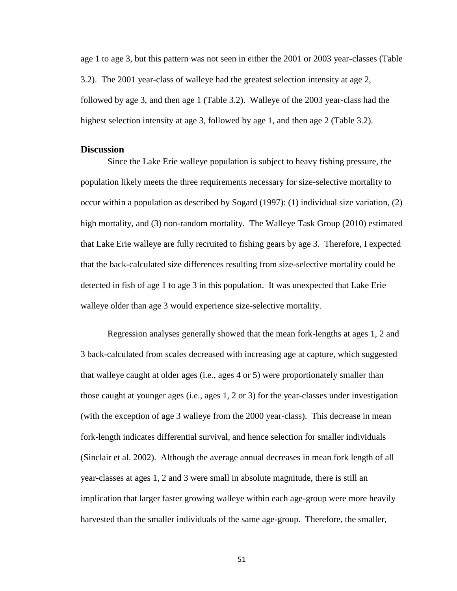age 1 to age 3, but this pattern was not seen in either the 2001 or 2003 year-classes (Table 3.2). The 2001 year-class of walleye had the greatest selection intensity at age 2, followed by age 3, and then age 1 (Table 3.2). Walleye of the 2003 year-class had the highest selection intensity at age 3, followed by age 1, and then age 2 (Table 3.2).

# **Discussion**

Since the Lake Erie walleye population is subject to heavy fishing pressure, the population likely meets the three requirements necessary for size-selective mortality to occur within a population as described by Sogard (1997): (1) individual size variation, (2) high mortality, and (3) non-random mortality. The Walleye Task Group (2010) estimated that Lake Erie walleye are fully recruited to fishing gears by age 3. Therefore, I expected that the back-calculated size differences resulting from size-selective mortality could be detected in fish of age 1 to age 3 in this population. It was unexpected that Lake Erie walleye older than age 3 would experience size-selective mortality.

Regression analyses generally showed that the mean fork-lengths at ages 1, 2 and 3 back-calculated from scales decreased with increasing age at capture, which suggested that walleye caught at older ages (i.e., ages 4 or 5) were proportionately smaller than those caught at younger ages (i.e., ages 1, 2 or 3) for the year-classes under investigation (with the exception of age 3 walleye from the 2000 year-class). This decrease in mean fork-length indicates differential survival, and hence selection for smaller individuals (Sinclair et al. 2002). Although the average annual decreases in mean fork length of all year-classes at ages 1, 2 and 3 were small in absolute magnitude, there is still an implication that larger faster growing walleye within each age-group were more heavily harvested than the smaller individuals of the same age-group. Therefore, the smaller,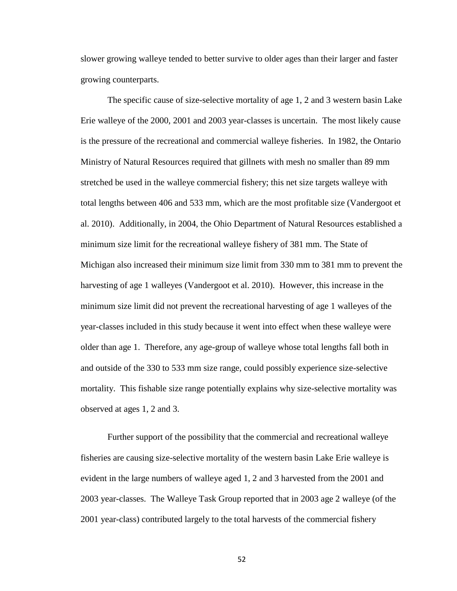slower growing walleye tended to better survive to older ages than their larger and faster growing counterparts.

The specific cause of size-selective mortality of age 1, 2 and 3 western basin Lake Erie walleye of the 2000, 2001 and 2003 year-classes is uncertain. The most likely cause is the pressure of the recreational and commercial walleye fisheries. In 1982, the Ontario Ministry of Natural Resources required that gillnets with mesh no smaller than 89 mm stretched be used in the walleye commercial fishery; this net size targets walleye with total lengths between 406 and 533 mm, which are the most profitable size (Vandergoot et al. 2010). Additionally, in 2004, the Ohio Department of Natural Resources established a minimum size limit for the recreational walleye fishery of 381 mm. The State of Michigan also increased their minimum size limit from 330 mm to 381 mm to prevent the harvesting of age 1 walleyes (Vandergoot et al. 2010). However, this increase in the minimum size limit did not prevent the recreational harvesting of age 1 walleyes of the year-classes included in this study because it went into effect when these walleye were older than age 1. Therefore, any age-group of walleye whose total lengths fall both in and outside of the 330 to 533 mm size range, could possibly experience size-selective mortality. This fishable size range potentially explains why size-selective mortality was observed at ages 1, 2 and 3.

Further support of the possibility that the commercial and recreational walleye fisheries are causing size-selective mortality of the western basin Lake Erie walleye is evident in the large numbers of walleye aged 1, 2 and 3 harvested from the 2001 and 2003 year-classes. The Walleye Task Group reported that in 2003 age 2 walleye (of the 2001 year-class) contributed largely to the total harvests of the commercial fishery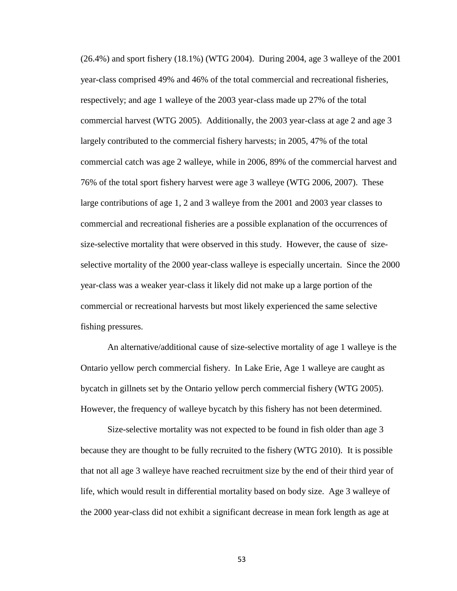(26.4%) and sport fishery (18.1%) (WTG 2004). During 2004, age 3 walleye of the 2001 year-class comprised 49% and 46% of the total commercial and recreational fisheries, respectively; and age 1 walleye of the 2003 year-class made up 27% of the total commercial harvest (WTG 2005). Additionally, the 2003 year-class at age 2 and age 3 largely contributed to the commercial fishery harvests; in 2005, 47% of the total commercial catch was age 2 walleye, while in 2006, 89% of the commercial harvest and 76% of the total sport fishery harvest were age 3 walleye (WTG 2006, 2007). These large contributions of age 1, 2 and 3 walleye from the 2001 and 2003 year classes to commercial and recreational fisheries are a possible explanation of the occurrences of size-selective mortality that were observed in this study. However, the cause of sizeselective mortality of the 2000 year-class walleye is especially uncertain. Since the 2000 year-class was a weaker year-class it likely did not make up a large portion of the commercial or recreational harvests but most likely experienced the same selective fishing pressures.

An alternative/additional cause of size-selective mortality of age 1 walleye is the Ontario yellow perch commercial fishery. In Lake Erie, Age 1 walleye are caught as bycatch in gillnets set by the Ontario yellow perch commercial fishery (WTG 2005). However, the frequency of walleye bycatch by this fishery has not been determined.

Size-selective mortality was not expected to be found in fish older than age 3 because they are thought to be fully recruited to the fishery (WTG 2010). It is possible that not all age 3 walleye have reached recruitment size by the end of their third year of life, which would result in differential mortality based on body size. Age 3 walleye of the 2000 year-class did not exhibit a significant decrease in mean fork length as age at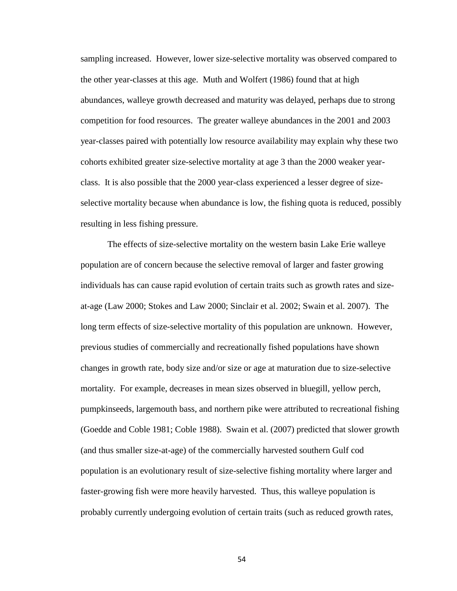sampling increased. However, lower size-selective mortality was observed compared to the other year-classes at this age. Muth and Wolfert (1986) found that at high abundances, walleye growth decreased and maturity was delayed, perhaps due to strong competition for food resources. The greater walleye abundances in the 2001 and 2003 year-classes paired with potentially low resource availability may explain why these two cohorts exhibited greater size-selective mortality at age 3 than the 2000 weaker yearclass. It is also possible that the 2000 year-class experienced a lesser degree of sizeselective mortality because when abundance is low, the fishing quota is reduced, possibly resulting in less fishing pressure.

The effects of size-selective mortality on the western basin Lake Erie walleye population are of concern because the selective removal of larger and faster growing individuals has can cause rapid evolution of certain traits such as growth rates and sizeat-age (Law 2000; Stokes and Law 2000; Sinclair et al. 2002; Swain et al. 2007). The long term effects of size-selective mortality of this population are unknown. However, previous studies of commercially and recreationally fished populations have shown changes in growth rate, body size and/or size or age at maturation due to size-selective mortality. For example, decreases in mean sizes observed in bluegill, yellow perch, pumpkinseeds, largemouth bass, and northern pike were attributed to recreational fishing (Goedde and Coble 1981; Coble 1988). Swain et al. (2007) predicted that slower growth (and thus smaller size-at-age) of the commercially harvested southern Gulf cod population is an evolutionary result of size-selective fishing mortality where larger and faster-growing fish were more heavily harvested. Thus, this walleye population is probably currently undergoing evolution of certain traits (such as reduced growth rates,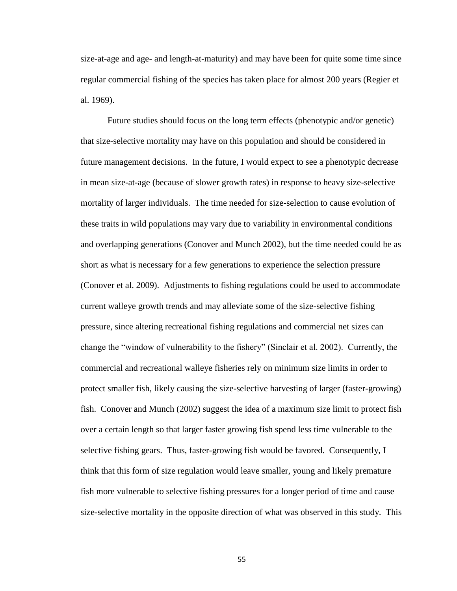size-at-age and age- and length-at-maturity) and may have been for quite some time since regular commercial fishing of the species has taken place for almost 200 years (Regier et al. 1969).

Future studies should focus on the long term effects (phenotypic and/or genetic) that size-selective mortality may have on this population and should be considered in future management decisions. In the future, I would expect to see a phenotypic decrease in mean size-at-age (because of slower growth rates) in response to heavy size-selective mortality of larger individuals. The time needed for size-selection to cause evolution of these traits in wild populations may vary due to variability in environmental conditions and overlapping generations (Conover and Munch 2002), but the time needed could be as short as what is necessary for a few generations to experience the selection pressure (Conover et al. 2009). Adjustments to fishing regulations could be used to accommodate current walleye growth trends and may alleviate some of the size-selective fishing pressure, since altering recreational fishing regulations and commercial net sizes can change the "window of vulnerability to the fishery" (Sinclair et al. 2002). Currently, the commercial and recreational walleye fisheries rely on minimum size limits in order to protect smaller fish, likely causing the size-selective harvesting of larger (faster-growing) fish. Conover and Munch (2002) suggest the idea of a maximum size limit to protect fish over a certain length so that larger faster growing fish spend less time vulnerable to the selective fishing gears. Thus, faster-growing fish would be favored. Consequently, I think that this form of size regulation would leave smaller, young and likely premature fish more vulnerable to selective fishing pressures for a longer period of time and cause size-selective mortality in the opposite direction of what was observed in this study. This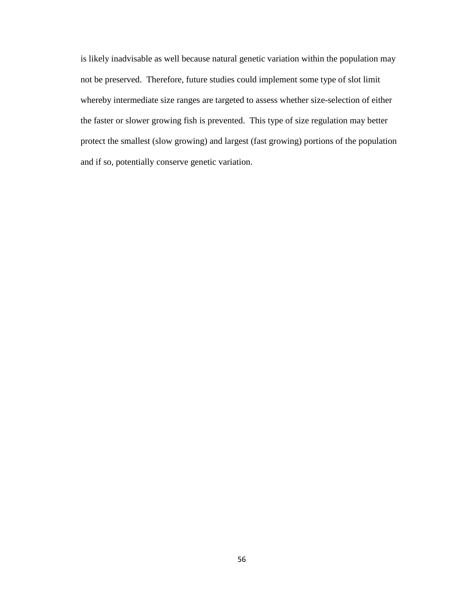is likely inadvisable as well because natural genetic variation within the population may not be preserved. Therefore, future studies could implement some type of slot limit whereby intermediate size ranges are targeted to assess whether size-selection of either the faster or slower growing fish is prevented. This type of size regulation may better protect the smallest (slow growing) and largest (fast growing) portions of the population and if so, potentially conserve genetic variation.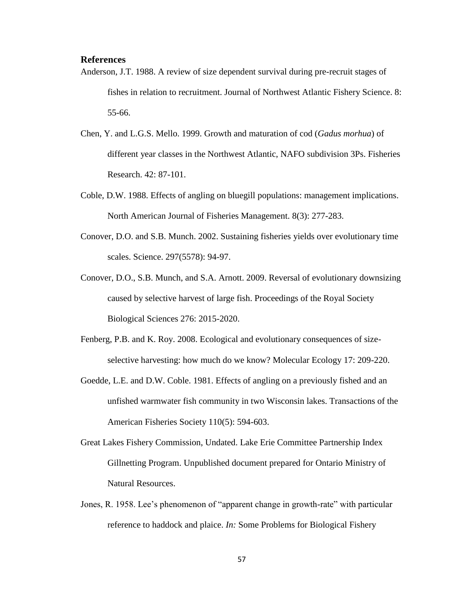# **References**

- Anderson, J.T. 1988. A review of size dependent survival during pre-recruit stages of fishes in relation to recruitment. Journal of Northwest Atlantic Fishery Science. 8: 55-66.
- Chen, Y. and L.G.S. Mello. 1999. Growth and maturation of cod (*Gadus morhua*) of different year classes in the Northwest Atlantic, NAFO subdivision 3Ps. Fisheries Research. 42: 87-101.
- Coble, D.W. 1988. Effects of angling on bluegill populations: management implications. North American Journal of Fisheries Management. 8(3): 277-283.
- Conover, D.O. and S.B. Munch. 2002. Sustaining fisheries yields over evolutionary time scales. Science. 297(5578): 94-97.
- Conover, D.O., S.B. Munch, and S.A. Arnott. 2009. Reversal of evolutionary downsizing caused by selective harvest of large fish. Proceedings of the Royal Society Biological Sciences 276: 2015-2020.
- Fenberg, P.B. and K. Roy. 2008. Ecological and evolutionary consequences of sizeselective harvesting: how much do we know? Molecular Ecology 17: 209-220.
- Goedde, L.E. and D.W. Coble. 1981. Effects of angling on a previously fished and an unfished warmwater fish community in two Wisconsin lakes. Transactions of the American Fisheries Society 110(5): 594-603.
- Great Lakes Fishery Commission, Undated. Lake Erie Committee Partnership Index Gillnetting Program. Unpublished document prepared for Ontario Ministry of Natural Resources.
- Jones, R. 1958. Lee's phenomenon of "apparent change in growth-rate" with particular reference to haddock and plaice. *In:* Some Problems for Biological Fishery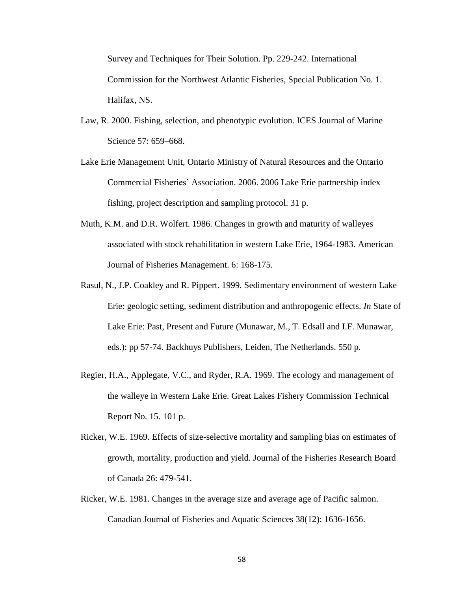Survey and Techniques for Their Solution. Pp. 229-242. International Commission for the Northwest Atlantic Fisheries, Special Publication No. 1. Halifax, NS.

- Law, R. 2000. Fishing, selection, and phenotypic evolution. ICES Journal of Marine Science 57: 659–668.
- Lake Erie Management Unit, Ontario Ministry of Natural Resources and the Ontario Commercial Fisheries' Association. 2006. 2006 Lake Erie partnership index fishing, project description and sampling protocol. 31 p.
- Muth, K.M. and D.R. Wolfert. 1986. Changes in growth and maturity of walleyes associated with stock rehabilitation in western Lake Erie, 1964-1983. American Journal of Fisheries Management. 6: 168-175.
- Rasul, N., J.P. Coakley and R. Pippert. 1999. Sedimentary environment of western Lake Erie: geologic setting, sediment distribution and anthropogenic effects. *In* State of Lake Erie: Past, Present and Future (Munawar, M., T. Edsall and I.F. Munawar, eds.): pp 57-74. Backhuys Publishers, Leiden, The Netherlands. 550 p.
- Regier, H.A., Applegate, V.C., and Ryder, R.A. 1969. The ecology and management of the walleye in Western Lake Erie. Great Lakes Fishery Commission Technical Report No. 15. 101 p.
- Ricker, W.E. 1969. Effects of size-selective mortality and sampling bias on estimates of growth, mortality, production and yield. Journal of the Fisheries Research Board of Canada 26: 479-541.
- Ricker, W.E. 1981. Changes in the average size and average age of Pacific salmon. Canadian Journal of Fisheries and Aquatic Sciences 38(12): 1636-1656.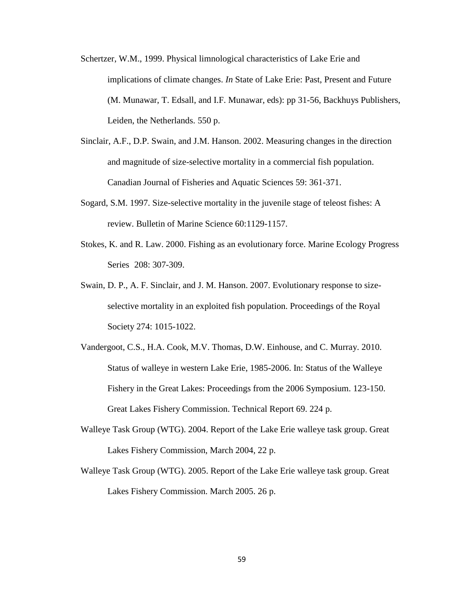- Schertzer, W.M., 1999. Physical limnological characteristics of Lake Erie and implications of climate changes. *In* State of Lake Erie: Past, Present and Future (M. Munawar, T. Edsall, and I.F. Munawar, eds): pp 31-56, Backhuys Publishers, Leiden, the Netherlands. 550 p.
- Sinclair, A.F., D.P. Swain, and J.M. Hanson. 2002. Measuring changes in the direction and magnitude of size-selective mortality in a commercial fish population. Canadian Journal of Fisheries and Aquatic Sciences 59: 361-371.
- Sogard, S.M. 1997. Size-selective mortality in the juvenile stage of teleost fishes: A review. Bulletin of Marine Science 60:1129-1157.
- Stokes, K. and R. Law. 2000. Fishing as an evolutionary force. Marine Ecology Progress Series 208: 307-309.
- Swain, D. P., A. F. Sinclair, and J. M. Hanson. 2007. Evolutionary response to sizeselective mortality in an exploited fish population. Proceedings of the Royal Society 274: 1015-1022.
- Vandergoot, C.S., H.A. Cook, M.V. Thomas, D.W. Einhouse, and C. Murray. 2010. Status of walleye in western Lake Erie, 1985-2006. In: Status of the Walleye Fishery in the Great Lakes: Proceedings from the 2006 Symposium. 123-150. Great Lakes Fishery Commission. Technical Report 69. 224 p.
- Walleye Task Group (WTG). 2004. Report of the Lake Erie walleye task group. Great Lakes Fishery Commission, March 2004, 22 p.
- Walleye Task Group (WTG). 2005. Report of the Lake Erie walleye task group. Great Lakes Fishery Commission. March 2005. 26 p.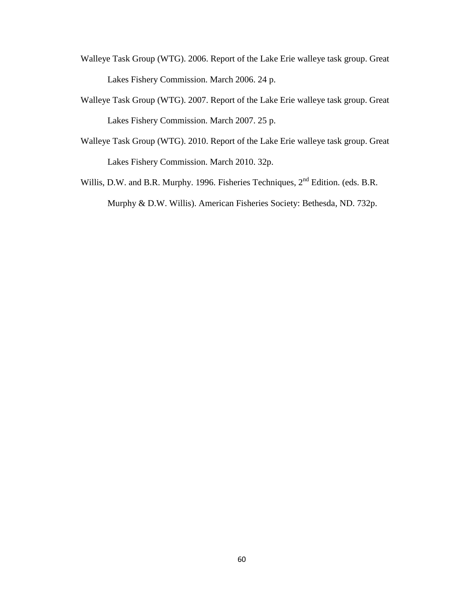- Walleye Task Group (WTG). 2006. Report of the Lake Erie walleye task group. Great Lakes Fishery Commission. March 2006. 24 p.
- Walleye Task Group (WTG). 2007. Report of the Lake Erie walleye task group. Great Lakes Fishery Commission. March 2007. 25 p.
- Walleye Task Group (WTG). 2010. Report of the Lake Erie walleye task group. Great Lakes Fishery Commission. March 2010. 32p.
- Willis, D.W. and B.R. Murphy. 1996. Fisheries Techniques, 2<sup>nd</sup> Edition. (eds. B.R. Murphy & D.W. Willis). American Fisheries Society: Bethesda, ND. 732p.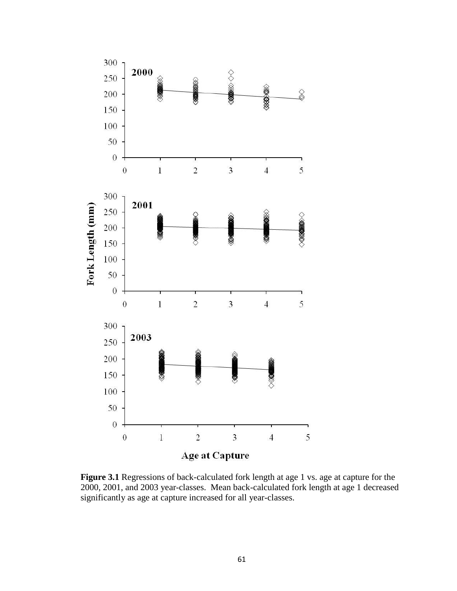

**Figure 3.1** Regressions of back-calculated fork length at age 1 vs. age at capture for the 2000, 2001, and 2003 year-classes. Mean back-calculated fork length at age 1 decreased significantly as age at capture increased for all year-classes.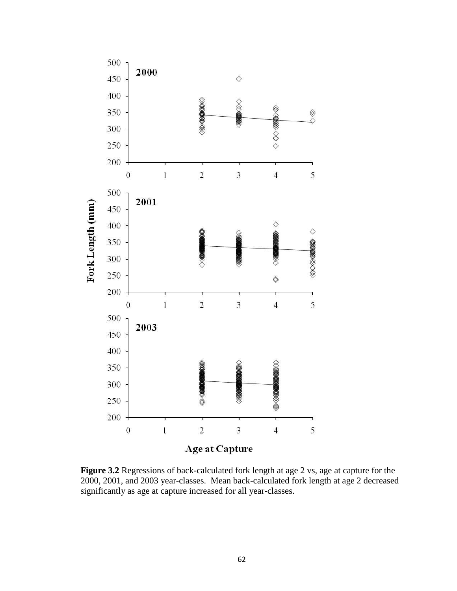

**Figure 3.2** Regressions of back-calculated fork length at age 2 vs, age at capture for the 2000, 2001, and 2003 year-classes. Mean back-calculated fork length at age 2 decreased significantly as age at capture increased for all year-classes.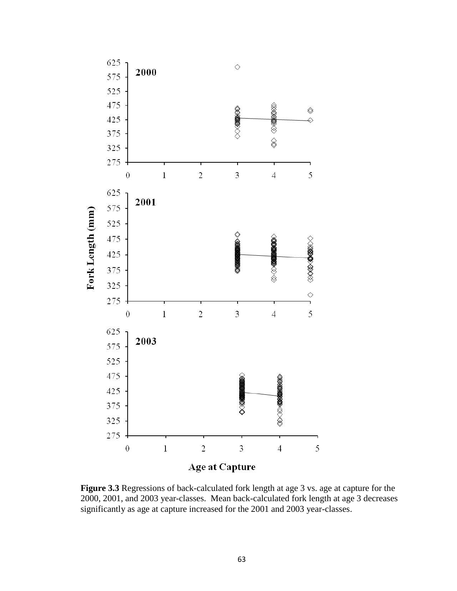

**Figure 3.3** Regressions of back-calculated fork length at age 3 vs. age at capture for the 2000, 2001, and 2003 year-classes. Mean back-calculated fork length at age 3 decreases significantly as age at capture increased for the 2001 and 2003 year-classes.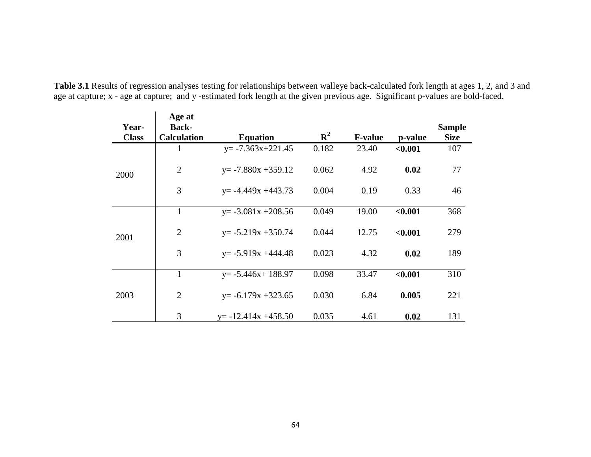| Year-<br><b>Class</b> | Age at<br><b>Back-</b><br><b>Calculation</b> | <b>Equation</b>         | ${\bf R}^2$ | <b>F-value</b> | p-value | <b>Sample</b><br><b>Size</b> |
|-----------------------|----------------------------------------------|-------------------------|-------------|----------------|---------|------------------------------|
| 2000                  | 1                                            | $y = -7.363x + 221.45$  | 0.182       | 23.40          | < 0.001 | 107                          |
|                       | $\overline{2}$                               | $y = -7.880x + 359.12$  | 0.062       | 4.92           | 0.02    | 77                           |
|                       | 3                                            | $y = -4.449x +443.73$   | 0.004       | 0.19           | 0.33    | 46                           |
| 2001                  | $\mathbf{1}$                                 | $y = -3.081x + 208.56$  | 0.049       | 19.00          | < 0.001 | 368                          |
|                       | $\overline{2}$                               | $y = -5.219x + 350.74$  | 0.044       | 12.75          | < 0.001 | 279                          |
|                       | 3                                            | $y = -5.919x +444.48$   | 0.023       | 4.32           | 0.02    | 189                          |
| 2003                  | $\mathbf{1}$                                 | $y = -5.446x + 188.97$  | 0.098       | 33.47          | < 0.001 | 310                          |
|                       | $\overline{2}$                               | $y=-6.179x +323.65$     | 0.030       | 6.84           | 0.005   | 221                          |
|                       | 3                                            | $y = -12.414x + 458.50$ | 0.035       | 4.61           | 0.02    | 131                          |

**Table 3.1** Results of regression analyses testing for relationships between walleye back-calculated fork length at ages 1, 2, and 3 and age at capture; x - age at capture; and y -estimated fork length at the given previous age. Significant p-values are bold-faced.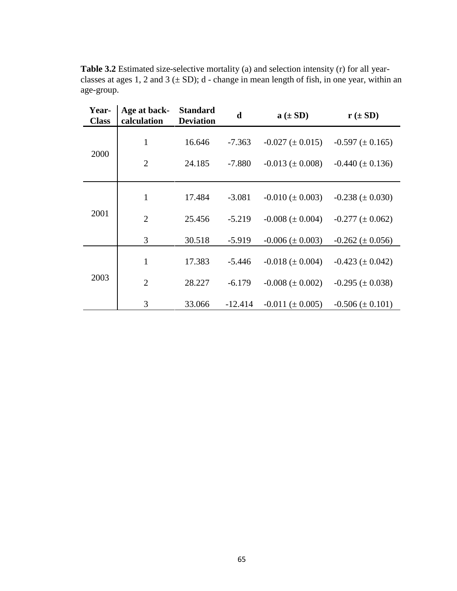| Year-<br><b>Class</b> | Age at back-<br>calculation | <b>Standard</b><br><b>Deviation</b> | d<br>$a \left( \pm SD \right)$ |                        | $\mathbf{r}$ ( $\pm$ SD) |
|-----------------------|-----------------------------|-------------------------------------|--------------------------------|------------------------|--------------------------|
| 2000                  | $\mathbf{1}$                | 16.646                              | $-7.363$                       | $-0.027 \ (\pm 0.015)$ | $-0.597 \ (\pm 0.165)$   |
|                       | $\overline{2}$              | 24.185                              | $-7.880$                       | $-0.013 \ (\pm 0.008)$ | $-0.440 (\pm 0.136)$     |
| 2001                  | $\mathbf{1}$                | 17.484                              | $-3.081$                       | $-0.010 \ (\pm 0.003)$ | $-0.238 \ (\pm 0.030)$   |
|                       | $\overline{2}$              | 25.456                              | $-5.219$                       | $-0.008 (\pm 0.004)$   | $-0.277 \ (\pm 0.062)$   |
|                       | 3                           | 30.518                              | $-5.919$                       | $-0.006 (\pm 0.003)$   | $-0.262 \ (\pm 0.056)$   |
| 2003                  | $\mathbf{1}$                | 17.383                              | $-5.446$                       | $-0.018 \ (\pm 0.004)$ | $-0.423 \ (\pm 0.042)$   |
|                       | $\overline{2}$              | 28.227                              | $-6.179$                       | $-0.008 (\pm 0.002)$   | $-0.295 \ (\pm 0.038)$   |
|                       | 3                           | 33.066                              | $-12.414$                      | $-0.011 \ (\pm 0.005)$ | $-0.506 \ (\pm 0.101)$   |

**Table 3.2** Estimated size-selective mortality (a) and selection intensity (r) for all yearclasses at ages 1, 2 and 3  $(\pm SD)$ ; d - change in mean length of fish, in one year, within an age-group.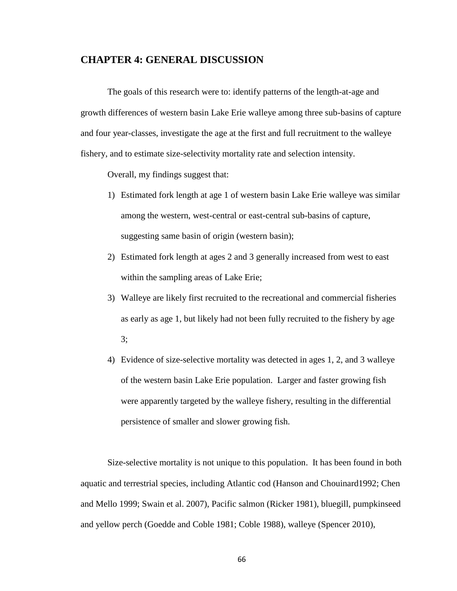## **CHAPTER 4: GENERAL DISCUSSION**

The goals of this research were to: identify patterns of the length-at-age and growth differences of western basin Lake Erie walleye among three sub-basins of capture and four year-classes, investigate the age at the first and full recruitment to the walleye fishery, and to estimate size-selectivity mortality rate and selection intensity.

Overall, my findings suggest that:

- 1) Estimated fork length at age 1 of western basin Lake Erie walleye was similar among the western, west-central or east-central sub-basins of capture, suggesting same basin of origin (western basin);
- 2) Estimated fork length at ages 2 and 3 generally increased from west to east within the sampling areas of Lake Erie;
- 3) Walleye are likely first recruited to the recreational and commercial fisheries as early as age 1, but likely had not been fully recruited to the fishery by age 3;
- 4) Evidence of size-selective mortality was detected in ages 1, 2, and 3 walleye of the western basin Lake Erie population. Larger and faster growing fish were apparently targeted by the walleye fishery, resulting in the differential persistence of smaller and slower growing fish.

Size-selective mortality is not unique to this population. It has been found in both aquatic and terrestrial species, including Atlantic cod (Hanson and Chouinard1992; Chen and Mello 1999; Swain et al. 2007), Pacific salmon (Ricker 1981), bluegill, pumpkinseed and yellow perch (Goedde and Coble 1981; Coble 1988), walleye (Spencer 2010),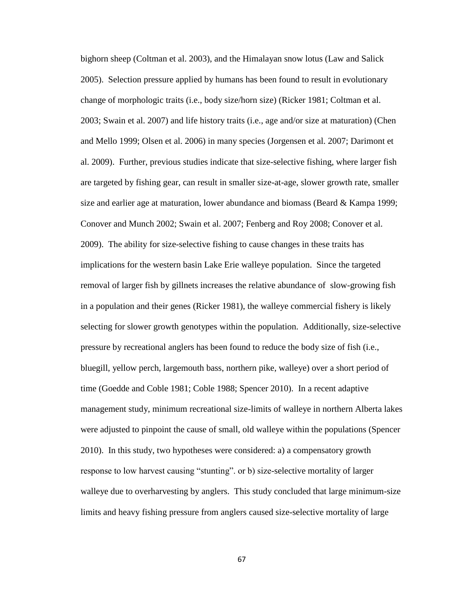bighorn sheep (Coltman et al. 2003), and the Himalayan snow lotus (Law and Salick 2005). Selection pressure applied by humans has been found to result in evolutionary change of morphologic traits (i.e., body size/horn size) (Ricker 1981; Coltman et al. 2003; Swain et al. 2007) and life history traits (i.e., age and/or size at maturation) (Chen and Mello 1999; Olsen et al. 2006) in many species (Jorgensen et al. 2007; Darimont et al. 2009). Further, previous studies indicate that size-selective fishing, where larger fish are targeted by fishing gear, can result in smaller size-at-age, slower growth rate, smaller size and earlier age at maturation, lower abundance and biomass (Beard  $&$  Kampa 1999; Conover and Munch 2002; Swain et al. 2007; Fenberg and Roy 2008; Conover et al. 2009). The ability for size-selective fishing to cause changes in these traits has implications for the western basin Lake Erie walleye population. Since the targeted removal of larger fish by gillnets increases the relative abundance of slow-growing fish in a population and their genes (Ricker 1981), the walleye commercial fishery is likely selecting for slower growth genotypes within the population. Additionally, size-selective pressure by recreational anglers has been found to reduce the body size of fish (i.e., bluegill, yellow perch, largemouth bass, northern pike, walleye) over a short period of time (Goedde and Coble 1981; Coble 1988; Spencer 2010). In a recent adaptive management study, minimum recreational size-limits of walleye in northern Alberta lakes were adjusted to pinpoint the cause of small, old walleye within the populations (Spencer 2010). In this study, two hypotheses were considered: a) a compensatory growth response to low harvest causing "stunting". or b) size-selective mortality of larger walleye due to overharvesting by anglers. This study concluded that large minimum-size limits and heavy fishing pressure from anglers caused size-selective mortality of large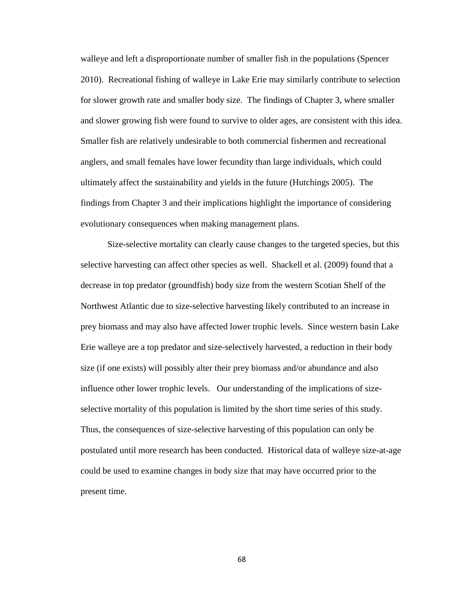walleye and left a disproportionate number of smaller fish in the populations (Spencer 2010). Recreational fishing of walleye in Lake Erie may similarly contribute to selection for slower growth rate and smaller body size. The findings of Chapter 3, where smaller and slower growing fish were found to survive to older ages, are consistent with this idea. Smaller fish are relatively undesirable to both commercial fishermen and recreational anglers, and small females have lower fecundity than large individuals, which could ultimately affect the sustainability and yields in the future (Hutchings 2005). The findings from Chapter 3 and their implications highlight the importance of considering evolutionary consequences when making management plans.

Size-selective mortality can clearly cause changes to the targeted species, but this selective harvesting can affect other species as well. Shackell et al. (2009) found that a decrease in top predator (groundfish) body size from the western Scotian Shelf of the Northwest Atlantic due to size-selective harvesting likely contributed to an increase in prey biomass and may also have affected lower trophic levels. Since western basin Lake Erie walleye are a top predator and size-selectively harvested, a reduction in their body size (if one exists) will possibly alter their prey biomass and/or abundance and also influence other lower trophic levels. Our understanding of the implications of sizeselective mortality of this population is limited by the short time series of this study. Thus, the consequences of size-selective harvesting of this population can only be postulated until more research has been conducted. Historical data of walleye size-at-age could be used to examine changes in body size that may have occurred prior to the present time.

68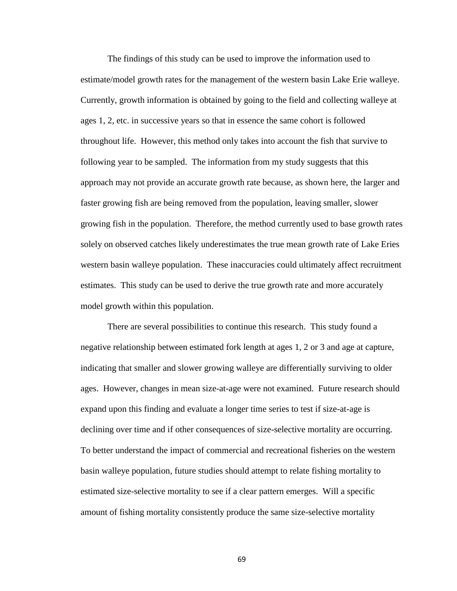The findings of this study can be used to improve the information used to estimate/model growth rates for the management of the western basin Lake Erie walleye. Currently, growth information is obtained by going to the field and collecting walleye at ages 1, 2, etc. in successive years so that in essence the same cohort is followed throughout life. However, this method only takes into account the fish that survive to following year to be sampled. The information from my study suggests that this approach may not provide an accurate growth rate because, as shown here, the larger and faster growing fish are being removed from the population, leaving smaller, slower growing fish in the population. Therefore, the method currently used to base growth rates solely on observed catches likely underestimates the true mean growth rate of Lake Eries western basin walleye population. These inaccuracies could ultimately affect recruitment estimates. This study can be used to derive the true growth rate and more accurately model growth within this population.

There are several possibilities to continue this research. This study found a negative relationship between estimated fork length at ages 1, 2 or 3 and age at capture, indicating that smaller and slower growing walleye are differentially surviving to older ages. However, changes in mean size-at-age were not examined. Future research should expand upon this finding and evaluate a longer time series to test if size-at-age is declining over time and if other consequences of size-selective mortality are occurring. To better understand the impact of commercial and recreational fisheries on the western basin walleye population, future studies should attempt to relate fishing mortality to estimated size-selective mortality to see if a clear pattern emerges. Will a specific amount of fishing mortality consistently produce the same size-selective mortality

69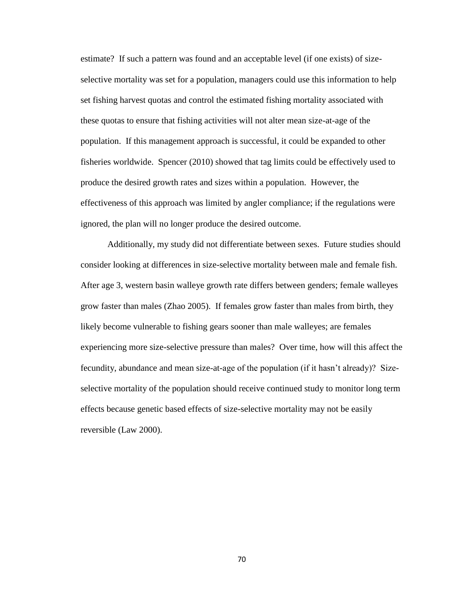estimate? If such a pattern was found and an acceptable level (if one exists) of sizeselective mortality was set for a population, managers could use this information to help set fishing harvest quotas and control the estimated fishing mortality associated with these quotas to ensure that fishing activities will not alter mean size-at-age of the population. If this management approach is successful, it could be expanded to other fisheries worldwide. Spencer (2010) showed that tag limits could be effectively used to produce the desired growth rates and sizes within a population. However, the effectiveness of this approach was limited by angler compliance; if the regulations were ignored, the plan will no longer produce the desired outcome.

Additionally, my study did not differentiate between sexes. Future studies should consider looking at differences in size-selective mortality between male and female fish. After age 3, western basin walleye growth rate differs between genders; female walleyes grow faster than males (Zhao 2005). If females grow faster than males from birth, they likely become vulnerable to fishing gears sooner than male walleyes; are females experiencing more size-selective pressure than males? Over time, how will this affect the fecundity, abundance and mean size-at-age of the population (if it hasn't already)? Sizeselective mortality of the population should receive continued study to monitor long term effects because genetic based effects of size-selective mortality may not be easily reversible (Law 2000).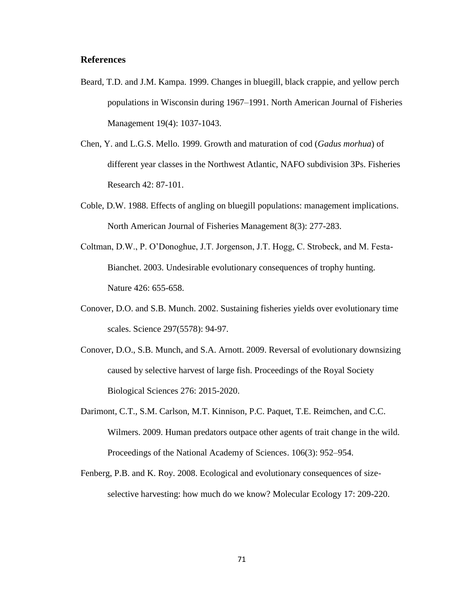## **References**

- Beard, T.D. and J.M. Kampa. 1999. Changes in bluegill, black crappie, and yellow perch populations in Wisconsin during 1967–1991. North American Journal of Fisheries Management 19(4): 1037-1043.
- Chen, Y. and L.G.S. Mello. 1999. Growth and maturation of cod (*Gadus morhua*) of different year classes in the Northwest Atlantic, NAFO subdivision 3Ps. Fisheries Research 42: 87-101.
- Coble, D.W. 1988. Effects of angling on bluegill populations: management implications. North American Journal of Fisheries Management 8(3): 277-283.
- Coltman, D.W., P. O'Donoghue, J.T. Jorgenson, J.T. Hogg, C. Strobeck, and M. Festa-Bianchet. 2003. Undesirable evolutionary consequences of trophy hunting. Nature 426: 655-658.
- Conover, D.O. and S.B. Munch. 2002. Sustaining fisheries yields over evolutionary time scales. Science 297(5578): 94-97.
- Conover, D.O., S.B. Munch, and S.A. Arnott. 2009. Reversal of evolutionary downsizing caused by selective harvest of large fish. Proceedings of the Royal Society Biological Sciences 276: 2015-2020.
- Darimont, C.T., S.M. Carlson, M.T. Kinnison, P.C. Paquet, T.E. Reimchen, and C.C. Wilmers. 2009. Human predators outpace other agents of trait change in the wild. Proceedings of the National Academy of Sciences. 106(3): 952–954.
- Fenberg, P.B. and K. Roy. 2008. Ecological and evolutionary consequences of sizeselective harvesting: how much do we know? Molecular Ecology 17: 209-220.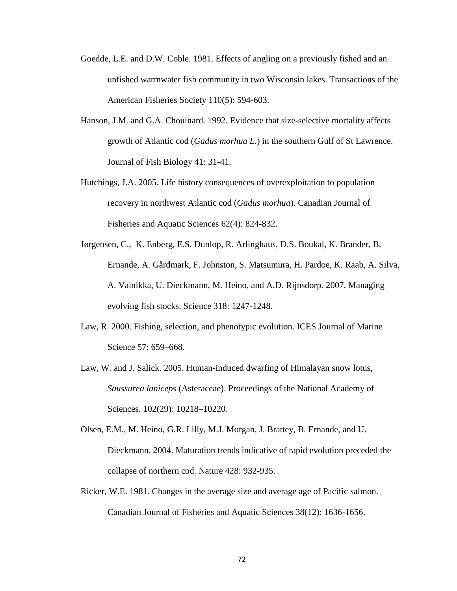- Goedde, L.E. and D.W. Coble. 1981. Effects of angling on a previously fished and an unfished warmwater fish community in two Wisconsin lakes. Transactions of the American Fisheries Society 110(5): 594-603.
- Hanson, J.M. and G.A. Chouinard. 1992. Evidence that size-selective mortality affects growth of Atlantic cod (*Gadus morhua L.*) in the southern Gulf of St Lawrence. Journal of Fish Biology 41: 31-41.
- Hutchings, J.A. 2005. Life history consequences of overexploitation to population recovery in northwest Atlantic cod (*Gadus morhua*). Canadian Journal of Fisheries and Aquatic Sciences 62(4): 824-832.
- Jørgensen, C., K. Enberg, E.S. Dunlop, R. Arlinghaus, D.S. Boukal, K. Brander, B. Ernande, A. Gårdmark, F. Johnston, S. Matsumura, H. Pardoe, K. Raab, A. Silva, A. Vainikka, U. Dieckmann, M. Heino, and A.D. Rijnsdorp. 2007. Managing evolving fish stocks. Science 318: 1247-1248.
- Law, R. 2000. Fishing, selection, and phenotypic evolution. ICES Journal of Marine Science 57: 659–668.
- Law, W. and J. Salick. 2005. Human-induced dwarfing of Himalayan snow lotus, *Saussurea laniceps* (Asteraceae). Proceedings of the National Academy of Sciences. 102(29): 10218–10220.
- Olsen, E.M., M. Heino, G.R. Lilly, M.J. Morgan, J. Brattey, B. Ernande, and U. Dieckmann. 2004. Maturation trends indicative of rapid evolution preceded the collapse of northern cod. Nature 428: 932-935.
- Ricker, W.E. 1981. Changes in the average size and average age of Pacific salmon. Canadian Journal of Fisheries and Aquatic Sciences 38(12): 1636-1656.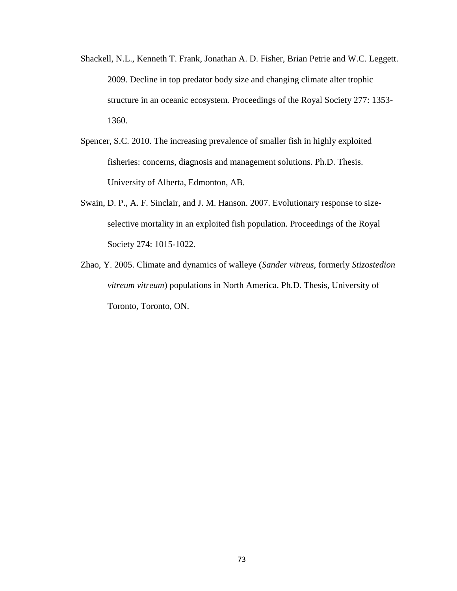- Shackell, N.L., Kenneth T. Frank, Jonathan A. D. Fisher, Brian Petrie and W.C. Leggett. 2009. Decline in top predator body size and changing climate alter trophic structure in an oceanic ecosystem. Proceedings of the Royal Society 277: 1353- 1360.
- Spencer, S.C. 2010. The increasing prevalence of smaller fish in highly exploited fisheries: concerns, diagnosis and management solutions. Ph.D. Thesis. University of Alberta, Edmonton, AB.
- Swain, D. P., A. F. Sinclair, and J. M. Hanson. 2007. Evolutionary response to sizeselective mortality in an exploited fish population. Proceedings of the Royal Society 274: 1015-1022.
- Zhao, Y. 2005. Climate and dynamics of walleye (*Sander vitreus*, formerly *Stizostedion vitreum vitreum*) populations in North America. Ph.D. Thesis, University of Toronto, Toronto, ON.